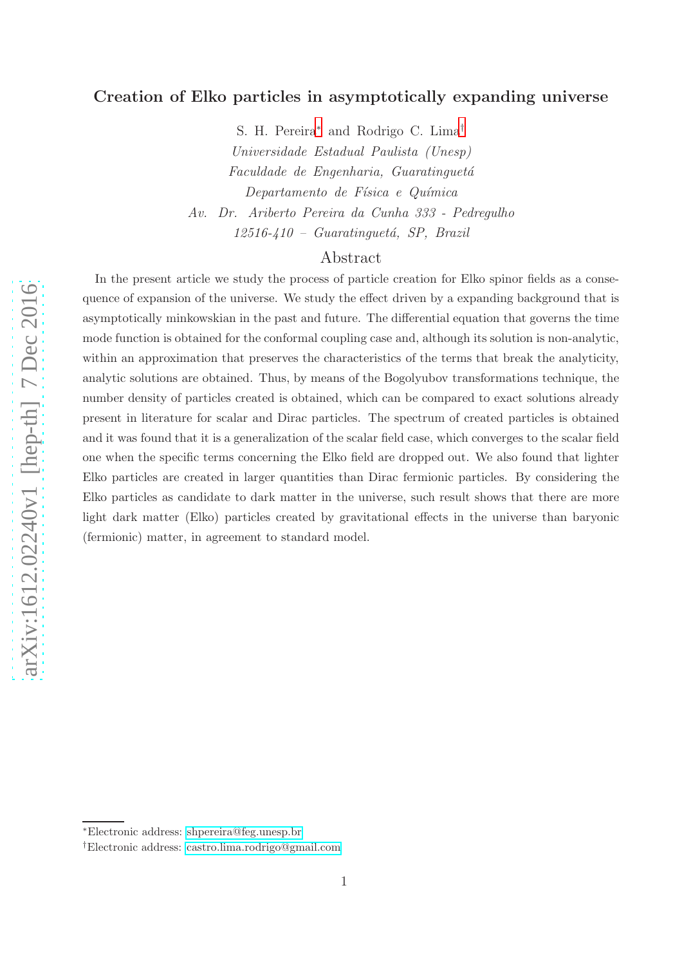# Creation of Elko particles in asymptotically expanding universe

S. H. Pereira [∗](#page-0-0) and Rodrigo C. Lima [†](#page-0-1) Universidade Estadual Paulista (Unesp) Faculdade de Engenharia, Guaratinguetá Departamento de Física e Química Av. Dr. Ariberto Pereira da Cunha 333 - Pedregulho  $12516 - 410$  – Guaratinguetá, SP, Brazil

## Abstract

In the present article we study the process of particle creation for Elko spinor fields as a consequence of expansion of the universe. We study the effect driven by a expanding background that is asymptotically minkowskian in the past and future. The differential equation that governs the time mode function is obtained for the conformal coupling case and, although its solution is non-analytic, within an approximation that preserves the characteristics of the terms that break the analyticity, analytic solutions are obtained. Thus, by means of the Bogolyubov transformations technique, the number density of particles created is obtained, which can be compared to exact solutions already present in literature for scalar and Dirac particles. The spectrum of created particles is obtained and it was found that it is a generalization of the scalar field case, which converges to the scalar field one when the specific terms concerning the Elko field are dropped out. We also found that lighter Elko particles are created in larger quantities than Dirac fermionic particles. By considering the Elko particles as candidate to dark matter in the universe, such result shows that there are more light dark matter (Elko) particles created by gravitational effects in the universe than baryonic (fermionic) matter, in agreement to standard model.

arXiv:1612.02240v1 [hep-th] 7 Dec 2016 [arXiv:1612.02240v1 \[hep-th\] 7 Dec 2016](http://arxiv.org/abs/1612.02240v1)

<span id="page-0-0"></span><sup>∗</sup>Electronic address: [shpereira@feg.unesp.br](mailto:shpereira@feg.unesp.br)

<span id="page-0-1"></span><sup>†</sup>Electronic address: [castro.lima.rodrigo@gmail.com](mailto:castro.lima.rodrigo@gmail.com)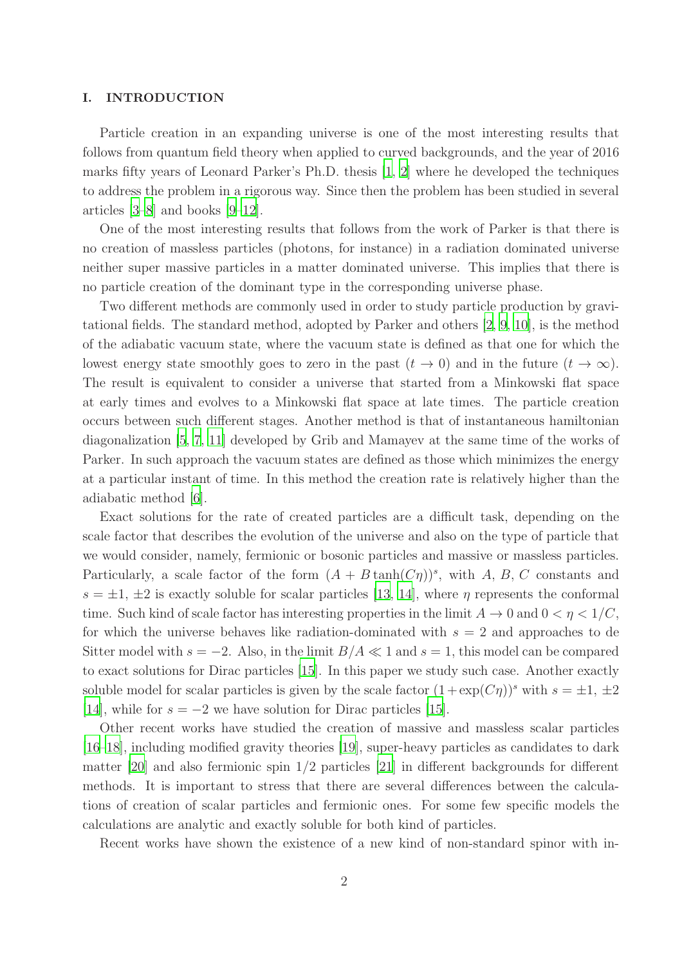#### I. INTRODUCTION

Particle creation in an expanding universe is one of the most interesting results that follows from quantum field theory when applied to curved backgrounds, and the year of 2016 marks fifty years of Leonard Parker's Ph.D. thesis [\[1](#page-25-0), [2](#page-25-1)] where he developed the techniques to address the problem in a rigorous way. Since then the problem has been studied in several articles [\[3](#page-25-2)[–8](#page-25-3)] and books [\[9](#page-25-4)[–12](#page-25-5)].

One of the most interesting results that follows from the work of Parker is that there is no creation of massless particles (photons, for instance) in a radiation dominated universe neither super massive particles in a matter dominated universe. This implies that there is no particle creation of the dominant type in the corresponding universe phase.

Two different methods are commonly used in order to study particle production by gravitational fields. The standard method, adopted by Parker and others [\[2,](#page-25-1) [9](#page-25-4), [10\]](#page-25-6), is the method of the adiabatic vacuum state, where the vacuum state is defined as that one for which the lowest energy state smoothly goes to zero in the past  $(t \to 0)$  and in the future  $(t \to \infty)$ . The result is equivalent to consider a universe that started from a Minkowski flat space at early times and evolves to a Minkowski flat space at late times. The particle creation occurs between such different stages. Another method is that of instantaneous hamiltonian diagonalization [\[5](#page-25-7), [7](#page-25-8), [11](#page-25-9)] developed by Grib and Mamayev at the same time of the works of Parker. In such approach the vacuum states are defined as those which minimizes the energy at a particular instant of time. In this method the creation rate is relatively higher than the adiabatic method [\[6](#page-25-10)].

Exact solutions for the rate of created particles are a difficult task, depending on the scale factor that describes the evolution of the universe and also on the type of particle that we would consider, namely, fermionic or bosonic particles and massive or massless particles. Particularly, a scale factor of the form  $(A + B \tanh(C\eta))^s$ , with A, B, C constants and  $s = \pm 1, \pm 2$  is exactly soluble for scalar particles [\[13](#page-25-11), [14\]](#page-25-12), where  $\eta$  represents the conformal time. Such kind of scale factor has interesting properties in the limit  $A \to 0$  and  $0 < \eta < 1/C$ , for which the universe behaves like radiation-dominated with  $s = 2$  and approaches to de Sitter model with  $s = -2$ . Also, in the limit  $B/A \ll 1$  and  $s = 1$ , this model can be compared to exact solutions for Dirac particles [\[15\]](#page-25-13). In this paper we study such case. Another exactly soluble model for scalar particles is given by the scale factor  $(1 + \exp(C\eta))^s$  with  $s = \pm 1, \pm 2$ [\[14](#page-25-12)], while for  $s = -2$  we have solution for Dirac particles [\[15](#page-25-13)].

Other recent works have studied the creation of massive and massless scalar particles [\[16](#page-25-14)[–18\]](#page-25-15), including modified gravity theories [\[19](#page-25-16)], super-heavy particles as candidates to dark matter [\[20\]](#page-25-17) and also fermionic spin 1/2 particles [\[21\]](#page-26-0) in different backgrounds for different methods. It is important to stress that there are several differences between the calculations of creation of scalar particles and fermionic ones. For some few specific models the calculations are analytic and exactly soluble for both kind of particles.

Recent works have shown the existence of a new kind of non-standard spinor with in-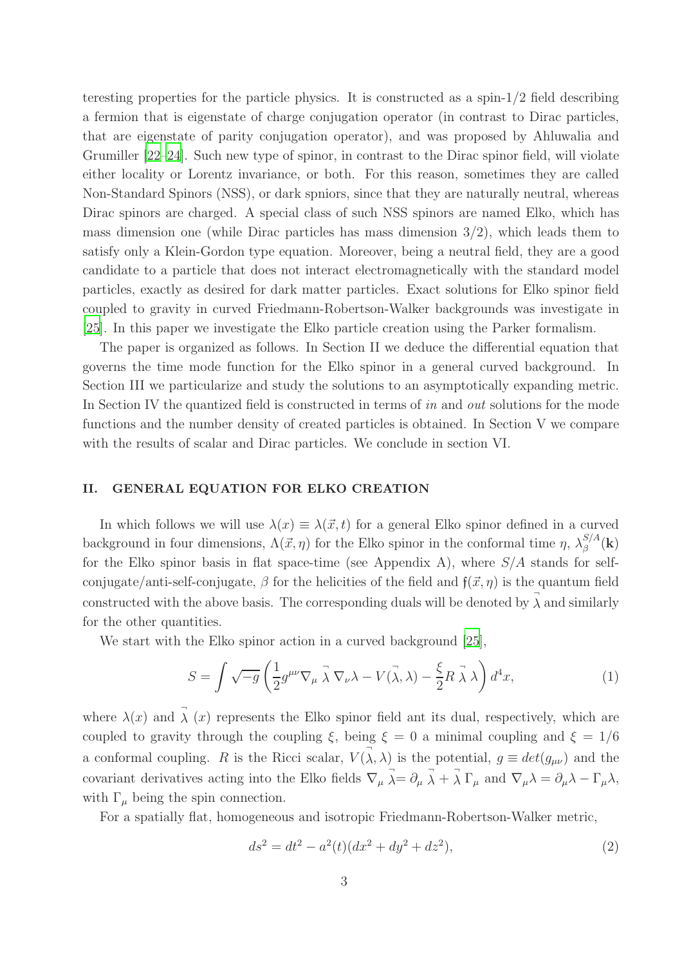teresting properties for the particle physics. It is constructed as a spin-1/2 field describing a fermion that is eigenstate of charge conjugation operator (in contrast to Dirac particles, that are eigenstate of parity conjugation operator), and was proposed by Ahluwalia and Grumiller [\[22](#page-26-1)[–24\]](#page-26-2). Such new type of spinor, in contrast to the Dirac spinor field, will violate either locality or Lorentz invariance, or both. For this reason, sometimes they are called Non-Standard Spinors (NSS), or dark spniors, since that they are naturally neutral, whereas Dirac spinors are charged. A special class of such NSS spinors are named Elko, which has mass dimension one (while Dirac particles has mass dimension  $3/2$ ), which leads them to satisfy only a Klein-Gordon type equation. Moreover, being a neutral field, they are a good candidate to a particle that does not interact electromagnetically with the standard model particles, exactly as desired for dark matter particles. Exact solutions for Elko spinor field coupled to gravity in curved Friedmann-Robertson-Walker backgrounds was investigate in [\[25\]](#page-26-3). In this paper we investigate the Elko particle creation using the Parker formalism.

The paper is organized as follows. In Section II we deduce the differential equation that governs the time mode function for the Elko spinor in a general curved background. In Section III we particularize and study the solutions to an asymptotically expanding metric. In Section IV the quantized field is constructed in terms of in and *out* solutions for the mode functions and the number density of created particles is obtained. In Section V we compare with the results of scalar and Dirac particles. We conclude in section VI.

## II. GENERAL EQUATION FOR ELKO CREATION

In which follows we will use  $\lambda(x) \equiv \lambda(\vec{x}, t)$  for a general Elko spinor defined in a curved background in four dimensions,  $\Lambda(\vec{x}, \eta)$  for the Elko spinor in the conformal time  $\eta$ ,  $\lambda_{\beta}^{S/A}$  $_\beta^{\beta / A} (\mathbf{k})$ for the Elko spinor basis in flat space-time (see Appendix A), where  $S/A$  stands for selfconjugate/anti-self-conjugate,  $\beta$  for the helicities of the field and  $f(\vec{x}, \eta)$  is the quantum field constructed with the above basis. The corresponding duals will be denoted by  $\vec{\lambda}$  and similarly for the other quantities.

We start with the Elko spinor action in a curved background [\[25](#page-26-3)],

<span id="page-2-1"></span>
$$
S = \int \sqrt{-g} \left( \frac{1}{2} g^{\mu\nu} \nabla_{\mu} \vec{\lambda} \nabla_{\nu} \lambda - V(\vec{\lambda}, \lambda) - \frac{\xi}{2} R \vec{\lambda} \lambda \right) d^4 x, \tag{1}
$$

where  $\lambda(x)$  and  $\vec{\lambda}(x)$  represents the Elko spinor field ant its dual, respectively, which are coupled to gravity through the coupling  $\xi$ , being  $\xi = 0$  a minimal coupling and  $\xi = 1/6$ a conformal coupling. R is the Ricci scalar,  $V(\vec{\lambda}, \lambda)$  is the potential,  $g \equiv det(g_{\mu\nu})$  and the covariant derivatives acting into the Elko fields  $\nabla_{\mu} \vec{\lambda} = \partial_{\mu} \vec{\lambda} + \vec{\lambda} \Gamma_{\mu}$  and  $\nabla_{\mu} \lambda = \partial_{\mu} \lambda - \Gamma_{\mu} \lambda$ , with  $\Gamma_{\mu}$  being the spin connection.

For a spatially flat, homogeneous and isotropic Friedmann-Robertson-Walker metric,

<span id="page-2-0"></span>
$$
ds^2 = dt^2 - a^2(t)(dx^2 + dy^2 + dz^2),
$$
\n(2)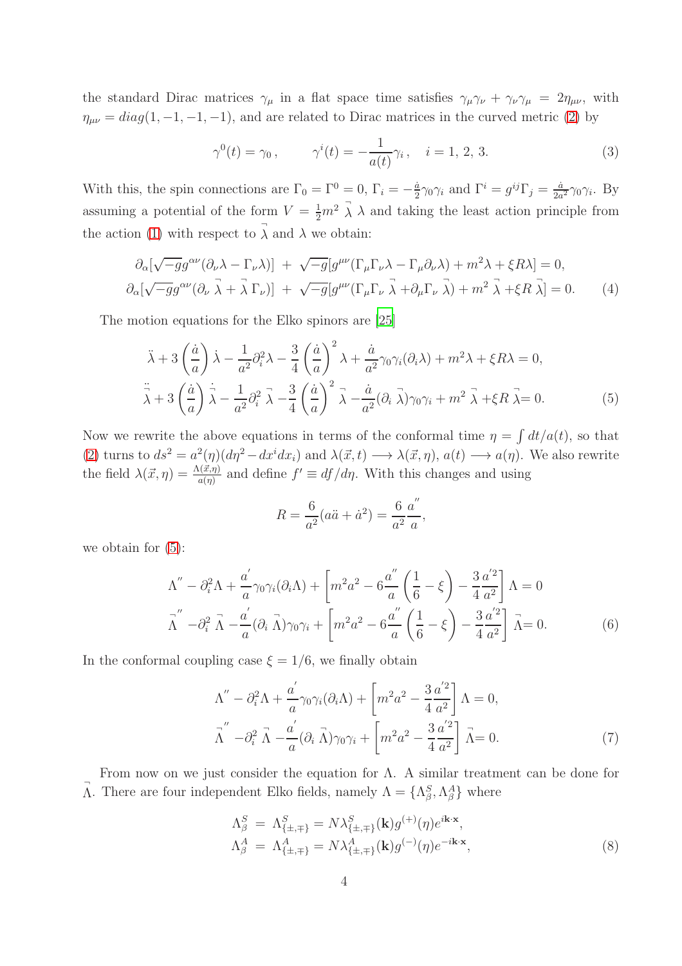the standard Dirac matrices  $\gamma_\mu$  in a flat space time satisfies  $\gamma_\mu \gamma_\nu + \gamma_\nu \gamma_\mu = 2\eta_{\mu\nu}$ , with  $\eta_{\mu\nu} = diag(1, -1, -1, -1)$ , and are related to Dirac matrices in the curved metric [\(2\)](#page-2-0) by

$$
\gamma^{0}(t) = \gamma_{0}, \qquad \gamma^{i}(t) = -\frac{1}{a(t)}\gamma_{i}, \quad i = 1, 2, 3.
$$
\n(3)

With this, the spin connections are  $\Gamma_0 = \Gamma^0 = 0$ ,  $\Gamma_i = -\frac{\dot{a}}{2}$  $\frac{\dot{a}}{2}\gamma_0\gamma_i$  and  $\Gamma^i = g^{ij}\Gamma_j = \frac{\dot{a}}{2a}$  $\frac{a}{2a^2}\gamma_0\gamma_i$ . By assuming a potential of the form  $V = \frac{1}{2}m^2 \overrightarrow{\lambda} \lambda$  and taking the least action principle from the action [\(1\)](#page-2-1) with respect to  $\vec{\lambda}$  and  $\lambda$  we obtain:

$$
\partial_{\alpha}[\sqrt{-g}g^{\alpha\nu}(\partial_{\nu}\lambda - \Gamma_{\nu}\lambda)] + \sqrt{-g}[g^{\mu\nu}(\Gamma_{\mu}\Gamma_{\nu}\lambda - \Gamma_{\mu}\partial_{\nu}\lambda) + m^{2}\lambda + \xi R\lambda] = 0,\n\partial_{\alpha}[\sqrt{-g}g^{\alpha\nu}(\partial_{\nu}\vec{\lambda} + \vec{\lambda}\Gamma_{\nu})] + \sqrt{-g}[g^{\mu\nu}(\Gamma_{\mu}\Gamma_{\nu}\vec{\lambda} + \partial_{\mu}\Gamma_{\nu}\vec{\lambda}) + m^{2}\vec{\lambda} + \xi R\vec{\lambda}] = 0.
$$
\n(4)

The motion equations for the Elko spinors are [\[25](#page-26-3)]

<span id="page-3-0"></span>
$$
\ddot{\lambda} + 3\left(\frac{\dot{a}}{a}\right)\dot{\lambda} - \frac{1}{a^2}\partial_i^2\lambda - \frac{3}{4}\left(\frac{\dot{a}}{a}\right)^2\lambda + \frac{\dot{a}}{a^2}\gamma_0\gamma_i(\partial_i\lambda) + m^2\lambda + \xi R\lambda = 0,
$$
  

$$
\ddot{\lambda} + 3\left(\frac{\dot{a}}{a}\right)\dot{\lambda} - \frac{1}{a^2}\partial_i^2\dot{\lambda} - \frac{3}{4}\left(\frac{\dot{a}}{a}\right)^2\dot{\lambda} - \frac{\dot{a}}{a^2}(\partial_i\dot{\lambda})\gamma_0\gamma_i + m^2\dot{\lambda} + \xi R\dot{\lambda} = 0.
$$
 (5)

Now we rewrite the above equations in terms of the conformal time  $\eta = \int dt/a(t)$ , so that [\(2\)](#page-2-0) turns to  $ds^2 = a^2(\eta)(d\eta^2 - dx^i dx_i)$  and  $\lambda(\vec{x}, t) \longrightarrow \lambda(\vec{x}, \eta)$ ,  $a(t) \longrightarrow a(\eta)$ . We also rewrite the field  $\lambda(\vec{x}, \eta) = \frac{\Lambda(\vec{x}, \eta)}{a(\eta)}$  and define  $f' \equiv df/d\eta$ . With this changes and using

$$
R = \frac{6}{a^2}(a\ddot{a} + \dot{a}^2) = \frac{6}{a^2} \frac{a''}{a}
$$

we obtain for [\(5\)](#page-3-0):

$$
\Lambda'' - \partial_i^2 \Lambda + \frac{a'}{a} \gamma_0 \gamma_i (\partial_i \Lambda) + \left[ m^2 a^2 - 6 \frac{a''}{a} \left( \frac{1}{6} - \xi \right) - \frac{3}{4} \frac{a'^2}{a^2} \right] \Lambda = 0
$$
  

$$
\overline{\Lambda}'' - \partial_i^2 \overline{\Lambda} - \frac{a'}{a} (\partial_i \overline{\Lambda}) \gamma_0 \gamma_i + \left[ m^2 a^2 - 6 \frac{a''}{a} \left( \frac{1}{6} - \xi \right) - \frac{3}{4} \frac{a'^2}{a^2} \right] \overline{\Lambda} = 0.
$$
 (6)

In the conformal coupling case  $\xi = 1/6$ , we finally obtain

$$
\Lambda'' - \partial_i^2 \Lambda + \frac{a'}{a} \gamma_0 \gamma_i (\partial_i \Lambda) + \left[ m^2 a^2 - \frac{3}{4} \frac{a'^2}{a^2} \right] \Lambda = 0,
$$
  

$$
\overline{\Lambda}'' - \partial_i^2 \overline{\Lambda} - \frac{a'}{a} (\partial_i \overline{\Lambda}) \gamma_0 \gamma_i + \left[ m^2 a^2 - \frac{3}{4} \frac{a'^2}{a^2} \right] \overline{\Lambda} = 0.
$$
 (7)

,

From now on we just consider the equation for  $\Lambda$ . A similar treatment can be done for  $\vec{\Lambda}$ . There are four independent Elko fields, namely  $\Lambda = \{\Lambda^S_\beta, \Lambda^A_\beta\}$  where

<span id="page-3-1"></span>
$$
\Lambda_{\beta}^{S} = \Lambda_{\{\pm,\mp\}}^{S} = N\lambda_{\{\pm,\mp\}}^{S}(\mathbf{k})g^{(+)}(\eta)e^{i\mathbf{k}\cdot\mathbf{x}},
$$
  
\n
$$
\Lambda_{\beta}^{A} = \Lambda_{\{\pm,\mp\}}^{A} = N\lambda_{\{\pm,\mp\}}^{A}(\mathbf{k})g^{(-)}(\eta)e^{-i\mathbf{k}\cdot\mathbf{x}},
$$
\n(8)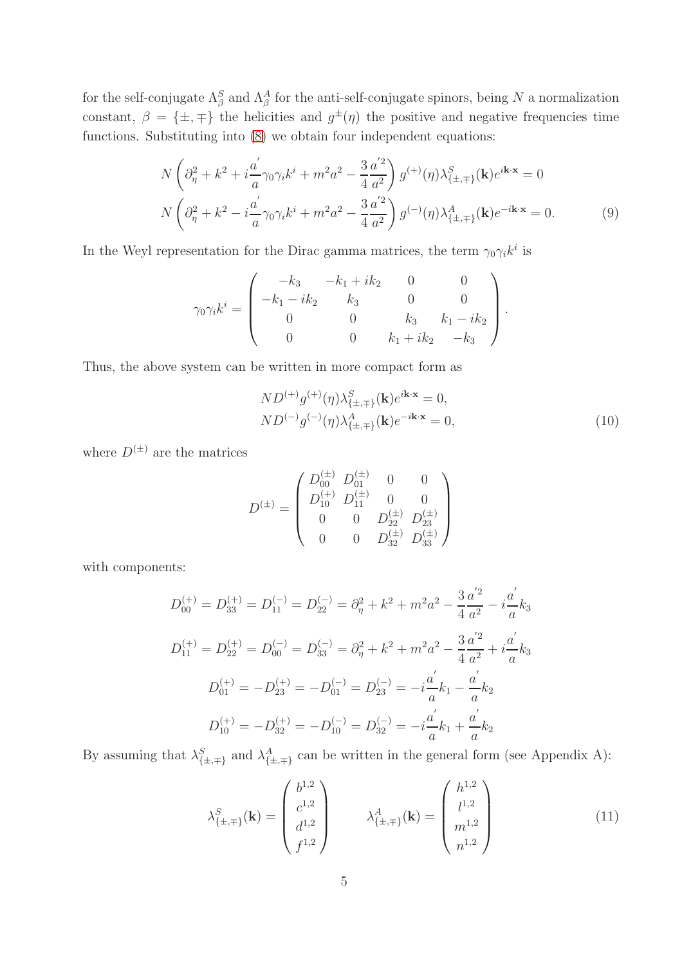for the self-conjugate  $\Lambda_{\beta}^{S}$  and  $\Lambda_{\beta}^{A}$  for the anti-self-conjugate spinors, being N a normalization constant,  $\beta = {\pm, \mp}$  the helicities and  $g^{\pm}(\eta)$  the positive and negative frequencies time functions. Substituting into [\(8\)](#page-3-1) we obtain four independent equations:

$$
N\left(\partial_{\eta}^{2} + k^{2} + i\frac{a^{'}}{a}\gamma_{0}\gamma_{i}k^{i} + m^{2}a^{2} - \frac{3}{4}\frac{a^{'2}}{a^{2}}\right)g^{(+)}(\eta)\lambda_{\{\pm,\mp\}}^{S}(\mathbf{k})e^{i\mathbf{k}\cdot\mathbf{x}} = 0
$$
  

$$
N\left(\partial_{\eta}^{2} + k^{2} - i\frac{a^{'}}{a}\gamma_{0}\gamma_{i}k^{i} + m^{2}a^{2} - \frac{3}{4}\frac{a^{'2}}{a^{2}}\right)g^{(-)}(\eta)\lambda_{\{\pm,\mp\}}^{A}(\mathbf{k})e^{-i\mathbf{k}\cdot\mathbf{x}} = 0.
$$
 (9)

In the Weyl representation for the Dirac gamma matrices, the term  $\gamma_0 \gamma_i k^i$  is

$$
\gamma_0 \gamma_i k^i = \begin{pmatrix} -k_3 & -k_1 + ik_2 & 0 & 0 \\ -k_1 - ik_2 & k_3 & 0 & 0 \\ 0 & 0 & k_3 & k_1 - ik_2 \\ 0 & 0 & k_1 + ik_2 & -k_3 \end{pmatrix}.
$$

Thus, the above system can be written in more compact form as

<span id="page-4-0"></span>
$$
ND^{(+)}g^{(+)}(\eta)\lambda_{\{\pm,\mp\}}^{S}(\mathbf{k})e^{i\mathbf{k}\cdot\mathbf{x}} = 0,
$$
  
\n
$$
ND^{(-)}g^{(-)}(\eta)\lambda_{\{\pm,\mp\}}^{A}(\mathbf{k})e^{-i\mathbf{k}\cdot\mathbf{x}} = 0,
$$
\n(10)

where  $D^{(\pm)}$  are the matrices

$$
D^{(\pm)} = \begin{pmatrix} D_{00}^{(\pm)} & D_{01}^{(\pm)} & 0 & 0 \\ D_{10}^{(+)} & D_{11}^{(\pm)} & 0 & 0 \\ 0 & 0 & D_{22}^{(\pm)} & D_{23}^{(\pm)} \\ 0 & 0 & D_{32}^{(\pm)} & D_{33}^{(\pm)} \end{pmatrix}
$$

with components:

$$
D_{00}^{(+)} = D_{33}^{(+)} = D_{11}^{(-)} = D_{22}^{(-)} = \partial_{\eta}^{2} + k^{2} + m^{2}a^{2} - \frac{3}{4}\frac{a^{'2}}{a^{2}} - i\frac{a^{'}}{a}k_{3}
$$
  
\n
$$
D_{11}^{(+)} = D_{22}^{(+)} = D_{00}^{(-)} = D_{33}^{(-)} = \partial_{\eta}^{2} + k^{2} + m^{2}a^{2} - \frac{3}{4}\frac{a^{'2}}{a^{2}} + i\frac{a^{'}}{a}k_{3}
$$
  
\n
$$
D_{01}^{(+)} = -D_{23}^{(+)} = -D_{01}^{(-)} = D_{23}^{(-)} = -i\frac{a^{'}}{a}k_{1} - \frac{a^{'}}{a}k_{2}
$$
  
\n
$$
D_{10}^{(+)} = -D_{32}^{(+)} = -D_{10}^{(-)} = D_{32}^{(-)} = -i\frac{a^{'}}{a}k_{1} + \frac{a^{'}}{a}k_{2}
$$

By assuming that  $\lambda_{\{\pm,\mp\}}^S$  and  $\lambda_{\{\pm,\mp\}}^A$  can be written in the general form (see Appendix A):

$$
\lambda_{\{\pm,\mp\}}^{S}(\mathbf{k}) = \begin{pmatrix} b^{1,2} \\ c^{1,2} \\ d^{1,2} \\ f^{1,2} \end{pmatrix} \qquad \lambda_{\{\pm,\mp\}}^{A}(\mathbf{k}) = \begin{pmatrix} h^{1,2} \\ l^{1,2} \\ m^{1,2} \\ n^{1,2} \end{pmatrix}
$$
(11)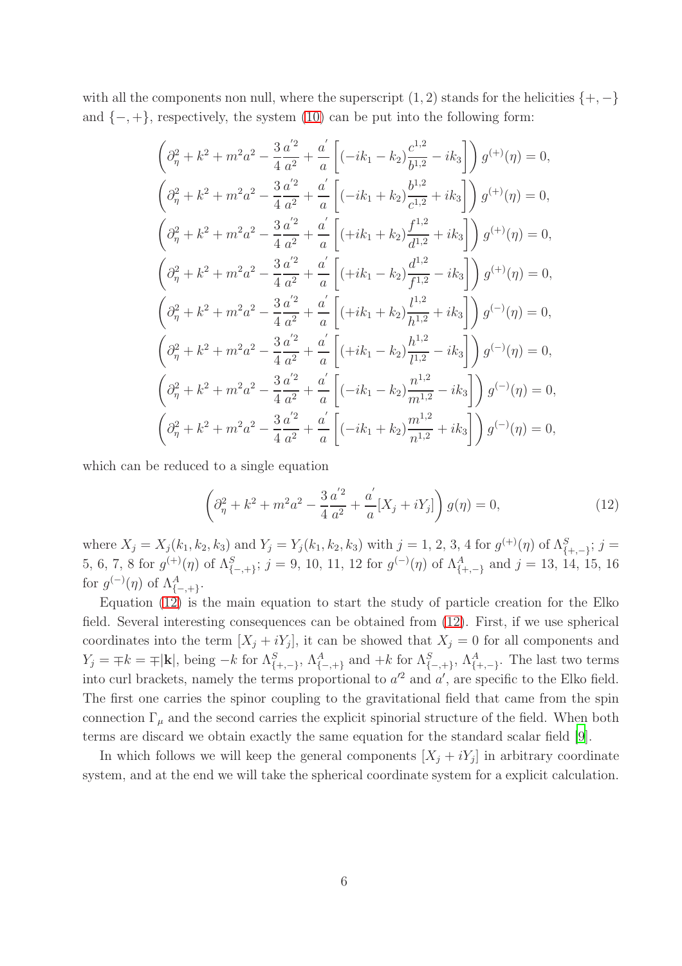with all the components non null, where the superscript  $(1, 2)$  stands for the helicities  $\{+,-\}$ and  $\{-, +\}$ , respectively, the system [\(10\)](#page-4-0) can be put into the following form:

$$
\left(\partial_{\eta}^{2} + k^{2} + m^{2}a^{2} - \frac{3}{4}\frac{a^{'2}}{a^{2}} + \frac{a^{'}}{a}\left[(-ik_{1} - k_{2})\frac{c^{1,2}}{b^{1,2}} - ik_{3}\right]\right)g^{(+)}(\eta) = 0,
$$
\n
$$
\left(\partial_{\eta}^{2} + k^{2} + m^{2}a^{2} - \frac{3}{4}\frac{a^{'2}}{a^{2}} + \frac{a^{'}}{a}\left[(-ik_{1} + k_{2})\frac{b^{1,2}}{c^{1,2}} + ik_{3}\right]\right)g^{(+)}(\eta) = 0,
$$
\n
$$
\left(\partial_{\eta}^{2} + k^{2} + m^{2}a^{2} - \frac{3}{4}\frac{a^{'2}}{a^{2}} + \frac{a^{'}}{a}\left[(+ik_{1} + k_{2})\frac{f^{1,2}}{d^{1,2}} + ik_{3}\right]\right)g^{(+)}(\eta) = 0,
$$
\n
$$
\left(\partial_{\eta}^{2} + k^{2} + m^{2}a^{2} - \frac{3}{4}\frac{a^{'2}}{a^{2}} + \frac{a^{'}}{a}\left[(+ik_{1} - k_{2})\frac{d^{1,2}}{f^{1,2}} - ik_{3}\right]\right)g^{(+)}(\eta) = 0,
$$
\n
$$
\left(\partial_{\eta}^{2} + k^{2} + m^{2}a^{2} - \frac{3}{4}\frac{a^{'2}}{a^{2}} + \frac{a^{'}}{a}\left[(+ik_{1} + k_{2})\frac{l^{1,2}}{h^{1,2}} + ik_{3}\right]\right)g^{(-)}(\eta) = 0,
$$
\n
$$
\left(\partial_{\eta}^{2} + k^{2} + m^{2}a^{2} - \frac{3}{4}\frac{a^{'2}}{a^{2}} + \frac{a^{'}}{a}\left[(-ik_{1} - k_{2})\frac{h^{1,2}}{l^{1,2}} - ik_{3}\right]\right)g^{(-)}(\eta) = 0,
$$
\n
$$
\left(\partial_{\eta}^{2} + k^{2} + m^{2}a^{2} - \frac{3}{4}\frac{a^{'2}}{a^{2}} + \frac{a^{'}}{a}\left[(-ik_{1} - k_{2})\frac{m^{1,2}}{m^{1,2}} - ik_{3}\
$$

which can be reduced to a single equation

<span id="page-5-0"></span>
$$
\left(\partial_{\eta}^{2} + k^{2} + m^{2}a^{2} - \frac{3}{4}\frac{a^{'2}}{a^{2}} + \frac{a^{'}}{a}[X_{j} + iY_{j}]\right)g(\eta) = 0,
$$
\n(12)

where  $X_j = X_j(k_1, k_2, k_3)$  and  $Y_j = Y_j(k_1, k_2, k_3)$  with  $j = 1, 2, 3, 4$  for  $g^{(+)}(\eta)$  of  $\Lambda_{\{+,-\}}^S$ ;  $j =$ 5, 6, 7, 8 for  $g^{(+)}(\eta)$  of  $\Lambda^S_{\{-,+\}}$ ; j = 9, 10, 11, 12 for  $g^{(-)}(\eta)$  of  $\Lambda^A_{\{+,-\}}$  and j = 13, 14, 15, 16 for  $g^{(-)}(\eta)$  of  $\Lambda^A_{\{-,+\}}$ .

Equation [\(12\)](#page-5-0) is the main equation to start the study of particle creation for the Elko field. Several interesting consequences can be obtained from [\(12\)](#page-5-0). First, if we use spherical coordinates into the term  $[X_j + iY_j]$ , it can be showed that  $X_j = 0$  for all components and  $Y_j = \pm k = \pm |\mathbf{k}|$ , being  $-k$  for  $\Lambda^S_{\{-,+\}}$ ,  $\Lambda^A_{\{-,+\}}$  and  $+k$  for  $\Lambda^S_{\{-,+\}}$ ,  $\Lambda^A_{\{+,-\}}$ . The last two terms into curl brackets, namely the terms proportional to  $a^2$  and  $a'$ , are specific to the Elko field. The first one carries the spinor coupling to the gravitational field that came from the spin connection  $\Gamma_{\mu}$  and the second carries the explicit spinorial structure of the field. When both terms are discard we obtain exactly the same equation for the standard scalar field [\[9](#page-25-4)].

In which follows we will keep the general components  $[X_j + iY_j]$  in arbitrary coordinate system, and at the end we will take the spherical coordinate system for a explicit calculation.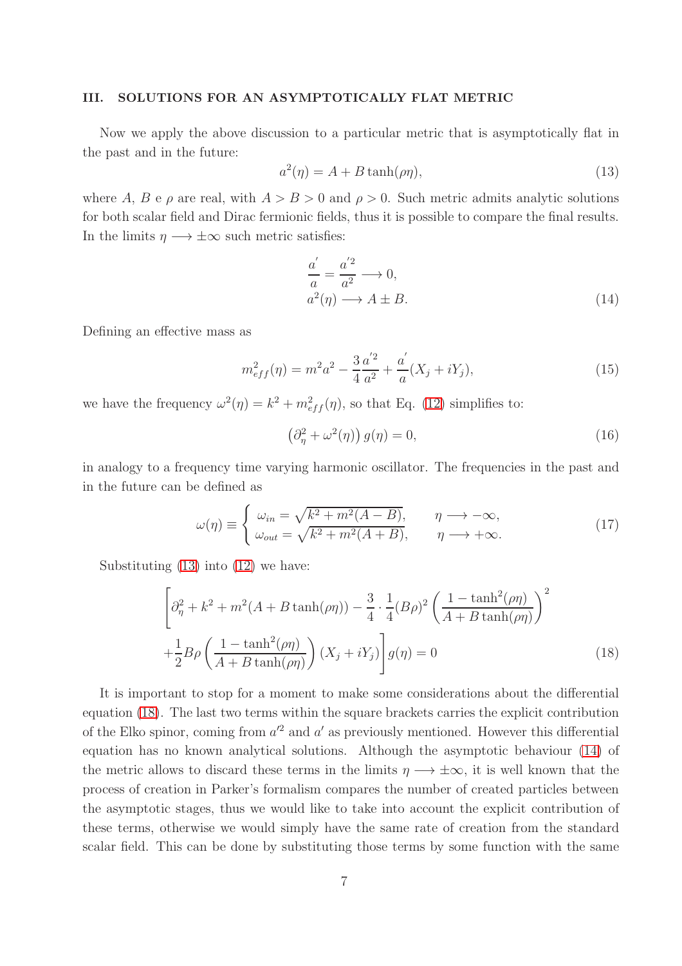#### III. SOLUTIONS FOR AN ASYMPTOTICALLY FLAT METRIC

Now we apply the above discussion to a particular metric that is asymptotically flat in the past and in the future:

<span id="page-6-0"></span>
$$
a^2(\eta) = A + B \tanh(\rho \eta), \tag{13}
$$

where A, B e  $\rho$  are real, with  $A > B > 0$  and  $\rho > 0$ . Such metric admits analytic solutions for both scalar field and Dirac fermionic fields, thus it is possible to compare the final results. In the limits  $\eta \longrightarrow \pm \infty$  such metric satisfies:

<span id="page-6-2"></span>
$$
\frac{a'}{a} = \frac{a'^2}{a^2} \longrightarrow 0,
$$
  
\n
$$
a^2(\eta) \longrightarrow A \pm B.
$$
\n(14)

Defining an effective mass as

$$
m_{eff}^2(\eta) = m^2 a^2 - \frac{3}{4} \frac{a^{'2}}{a^2} + \frac{a^{'}}{a} (X_j + iY_j),
$$
\n(15)

we have the frequency  $\omega^2(\eta) = k^2 + m_{eff}^2(\eta)$ , so that Eq. [\(12\)](#page-5-0) simplifies to:

$$
\left(\partial_{\eta}^{2} + \omega^{2}(\eta)\right)g(\eta) = 0, \tag{16}
$$

in analogy to a frequency time varying harmonic oscillator. The frequencies in the past and in the future can be defined as

$$
\omega(\eta) \equiv \begin{cases} \omega_{in} = \sqrt{k^2 + m^2(A - B)}, & \eta \to -\infty, \\ \omega_{out} = \sqrt{k^2 + m^2(A + B)}, & \eta \to +\infty. \end{cases}
$$
(17)

Substituting [\(13\)](#page-6-0) into [\(12\)](#page-5-0) we have:

<span id="page-6-1"></span>
$$
\left[\partial_{\eta}^{2} + k^{2} + m^{2}(A + B \tanh(\rho \eta)) - \frac{3}{4} \cdot \frac{1}{4} (B\rho)^{2} \left(\frac{1 - \tanh^{2}(\rho \eta)}{A + B \tanh(\rho \eta)}\right)^{2} + \frac{1}{2} B\rho \left(\frac{1 - \tanh^{2}(\rho \eta)}{A + B \tanh(\rho \eta)}\right) (X_{j} + iY_{j})\right] g(\eta) = 0
$$
\n(18)

It is important to stop for a moment to make some considerations about the differential equation [\(18\)](#page-6-1). The last two terms within the square brackets carries the explicit contribution of the Elko spinor, coming from  $a'^2$  and  $a'$  as previously mentioned. However this differential equation has no known analytical solutions. Although the asymptotic behaviour [\(14\)](#page-6-2) of the metric allows to discard these terms in the limits  $\eta \longrightarrow \pm \infty$ , it is well known that the process of creation in Parker's formalism compares the number of created particles between the asymptotic stages, thus we would like to take into account the explicit contribution of these terms, otherwise we would simply have the same rate of creation from the standard scalar field. This can be done by substituting those terms by some function with the same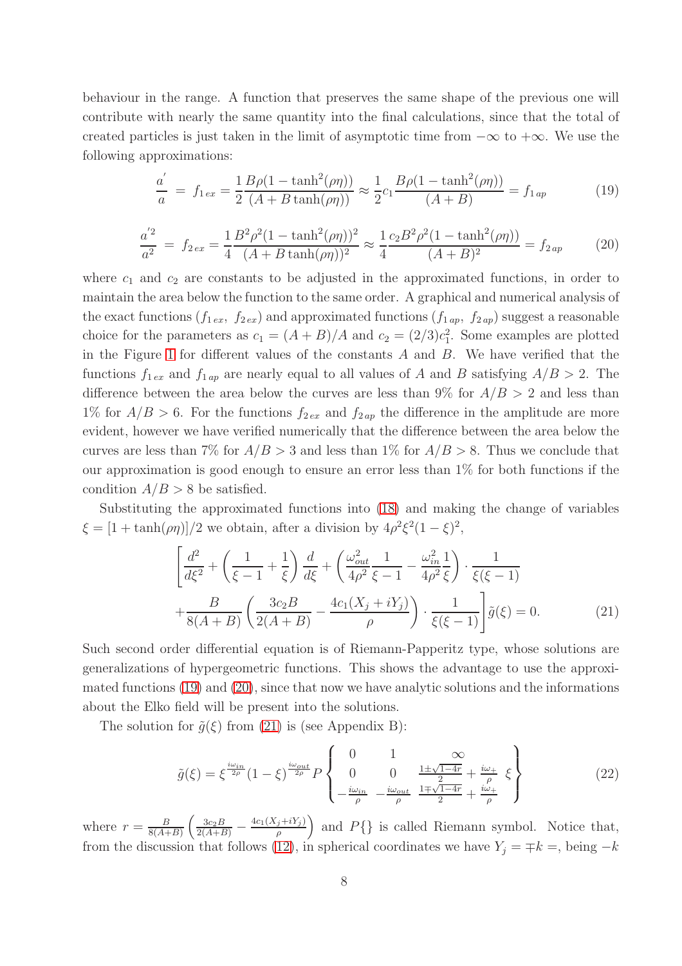behaviour in the range. A function that preserves the same shape of the previous one will contribute with nearly the same quantity into the final calculations, since that the total of created particles is just taken in the limit of asymptotic time from  $-\infty$  to  $+\infty$ . We use the following approximations:

<span id="page-7-0"></span>
$$
\frac{a'}{a} = f_{1ex} = \frac{1}{2} \frac{B\rho (1 - \tanh^2(\rho \eta))}{(A + B \tanh(\rho \eta))} \approx \frac{1}{2} c_1 \frac{B\rho (1 - \tanh^2(\rho \eta))}{(A + B)} = f_{1ap}
$$
(19)

<span id="page-7-1"></span>
$$
\frac{a^{'2}}{a^2} = f_{2ex} = \frac{1}{4} \frac{B^2 \rho^2 (1 - \tanh^2(\rho \eta))^2}{(A + B \tanh(\rho \eta))^2} \approx \frac{1}{4} \frac{c_2 B^2 \rho^2 (1 - \tanh^2(\rho \eta))}{(A + B)^2} = f_{2ap}
$$
(20)

where  $c_1$  and  $c_2$  are constants to be adjusted in the approximated functions, in order to maintain the area below the function to the same order. A graphical and numerical analysis of the exact functions  $(f_{1\,ex}, f_{2\,ex})$  and approximated functions  $(f_{1\,ap}, f_{2\,ap})$  suggest a reasonable choice for the parameters as  $c_1 = (A + B)/A$  and  $c_2 = (2/3)c_1^2$ . Some examples are plotted in the Figure [1](#page-8-0) for different values of the constants A and B. We have verified that the functions  $f_{1ex}$  and  $f_{1ap}$  are nearly equal to all values of A and B satisfying  $A/B > 2$ . The difference between the area below the curves are less than  $9\%$  for  $A/B > 2$  and less than 1% for  $A/B > 6$ . For the functions  $f_{2\,ex}$  and  $f_{2\,ap}$  the difference in the amplitude are more evident, however we have verified numerically that the difference between the area below the curves are less than 7% for  $A/B > 3$  and less than 1% for  $A/B > 8$ . Thus we conclude that our approximation is good enough to ensure an error less than 1% for both functions if the condition  $A/B > 8$  be satisfied.

Substituting the approximated functions into [\(18\)](#page-6-1) and making the change of variables  $\xi = [1 + \tanh(\rho \eta)]/2$  we obtain, after a division by  $4\rho^2 \xi^2 (1 - \xi)^2$ ,

<span id="page-7-2"></span>
$$
\left[\frac{d^2}{d\xi^2} + \left(\frac{1}{\xi - 1} + \frac{1}{\xi}\right)\frac{d}{d\xi} + \left(\frac{\omega_{out}^2}{4\rho^2}\frac{1}{\xi - 1} - \frac{\omega_{in}^2}{4\rho^2}\frac{1}{\xi}\right) \cdot \frac{1}{\xi(\xi - 1)}\right] + \frac{B}{8(A + B)} \left(\frac{3c_2B}{2(A + B)} - \frac{4c_1(X_j + iY_j)}{\rho}\right) \cdot \frac{1}{\xi(\xi - 1)}\right] \tilde{g}(\xi) = 0.
$$
\n(21)

Such second order differential equation is of Riemann-Papperitz type, whose solutions are generalizations of hypergeometric functions. This shows the advantage to use the approximated functions [\(19\)](#page-7-0) and [\(20\)](#page-7-1), since that now we have analytic solutions and the informations about the Elko field will be present into the solutions.

The solution for  $\tilde{g}(\xi)$  from [\(21\)](#page-7-2) is (see Appendix B):

<span id="page-7-3"></span>
$$
\tilde{g}(\xi) = \xi^{\frac{i\omega_{in}}{2\rho}} (1 - \xi)^{\frac{i\omega_{out}}{2\rho}} P \begin{Bmatrix} 0 & 1 & \infty \\ 0 & 0 & \frac{1 \pm \sqrt{1 - 4r}}{2} + \frac{i\omega_{+}}{\rho} \\ -\frac{i\omega_{in}}{\rho} & -\frac{i\omega_{out}}{\rho} & \frac{1 \pm \sqrt{1 - 4r}}{2} + \frac{i\omega_{+}}{\rho} \end{Bmatrix}
$$
(22)

where  $r = \frac{B}{8(4+1)}$  $\frac{B}{8(A+B)}\left(\frac{3c_2B}{2(A+B)}-\frac{4c_1(X_j+iY_j)}{\rho}\right)$  $\left(\frac{\partial f}{\partial t} + iY_j\right)$  and  $P\{\}\$ is called Riemann symbol. Notice that, from the discussion that follows [\(12\)](#page-5-0), in spherical coordinates we have  $Y_j = \mp k =$ , being  $-k$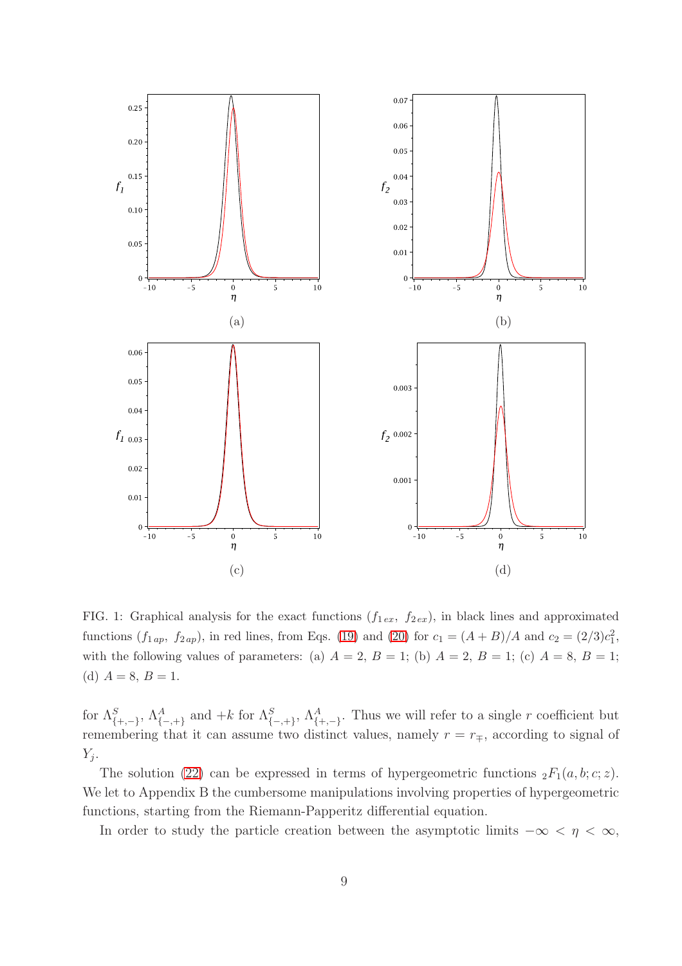

<span id="page-8-0"></span>FIG. 1: Graphical analysis for the exact functions  $(f_{1 ex}, f_{2 ex})$ , in black lines and approximated functions  $(f_1_{ap}, f_2_{ap})$ , in red lines, from Eqs. [\(19\)](#page-7-0) and [\(20\)](#page-7-1) for  $c_1 = (A + B)/A$  and  $c_2 = (2/3)c_1^2$ , with the following values of parameters: (a)  $A = 2$ ,  $B = 1$ ; (b)  $A = 2$ ,  $B = 1$ ; (c)  $A = 8$ ,  $B = 1$ ; (d)  $A = 8, B = 1.$ 

for  $\Lambda_{\{+,-\}}^S$ ,  $\Lambda_{\{-,+\}}^A$  and  $+k$  for  $\Lambda_{\{-,+\}}^S$ ,  $\Lambda_{\{+,-\}}^A$ . Thus we will refer to a single r coefficient but remembering that it can assume two distinct values, namely  $r = r_{\mp}$ , according to signal of  $Y_j$ .

The solution [\(22\)](#page-7-3) can be expressed in terms of hypergeometric functions  ${}_2F_1(a, b; c; z)$ . We let to Appendix B the cumbersome manipulations involving properties of hypergeometric functions, starting from the Riemann-Papperitz differential equation.

In order to study the particle creation between the asymptotic limits  $-\infty < \eta < \infty$ ,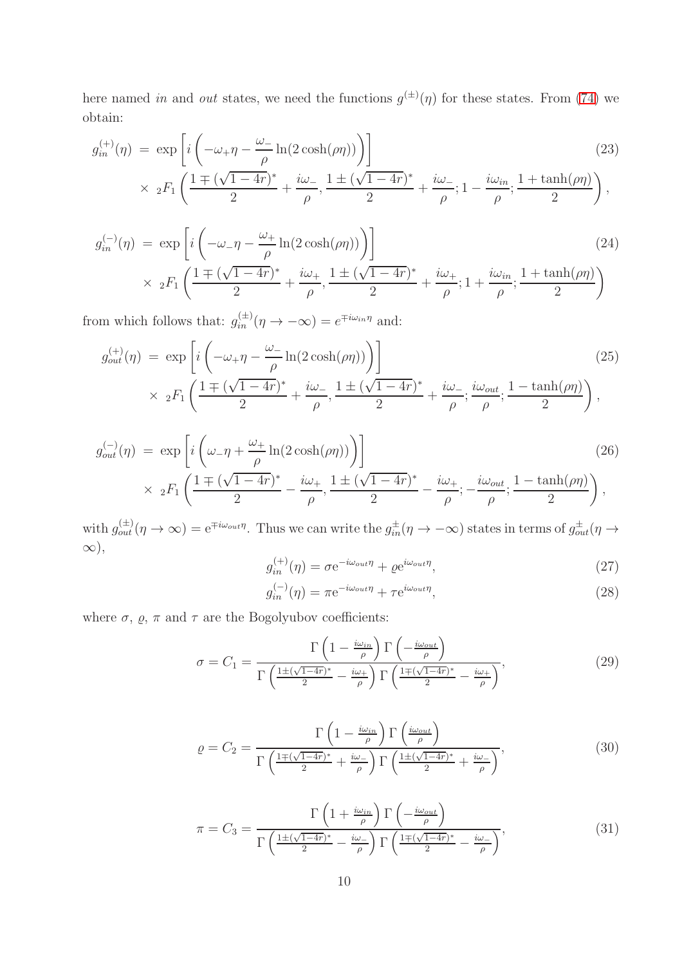here named in and out states, we need the functions  $g^{(\pm)}(\eta)$  for these states. From [\(74\)](#page-22-0) we obtain:

<span id="page-9-2"></span>
$$
g_{in}^{(+)}(\eta) = \exp\left[i\left(-\omega_{+}\eta - \frac{\omega_{-}}{\rho}\ln(2\cosh(\rho\eta))\right)\right]
$$
\n
$$
\times 2F_1\left(\frac{1\mp(\sqrt{1-4r})^*}{2} + \frac{i\omega_{-}}{\rho}, \frac{1\pm(\sqrt{1-4r})^*}{2} + \frac{i\omega_{-}}{\rho}; 1 - \frac{i\omega_{in}}{\rho}; \frac{1+\tanh(\rho\eta)}{2}\right),
$$
\n(23)

<span id="page-9-3"></span>
$$
g_{in}^{(-)}(\eta) = \exp\left[i\left(-\omega_{-}\eta - \frac{\omega_{+}}{\rho}\ln(2\cosh(\rho\eta))\right)\right]
$$
\n
$$
\times 2F_{1}\left(\frac{1\mp(\sqrt{1-4r})^{*}}{2} + \frac{i\omega_{+}}{\rho}, \frac{1\pm(\sqrt{1-4r})^{*}}{2} + \frac{i\omega_{+}}{\rho}; 1 + \frac{i\omega_{in}}{\rho}; \frac{1+\tanh(\rho\eta)}{2}\right)
$$
\n(24)

from which follows that:  $g_{in}^{(\pm)}(\eta \to -\infty) = e^{\mp i\omega_{in}\eta}$  and:

<span id="page-9-4"></span>
$$
g_{out}^{(+)}(\eta) = \exp\left[i\left(-\omega_{+}\eta - \frac{\omega_{-}}{\rho}\ln(2\cosh(\rho\eta))\right)\right]
$$
  
 
$$
\times 2F_{1}\left(\frac{1\mp(\sqrt{1-4r})^{*}}{2} + \frac{i\omega_{-}}{\rho}, \frac{1\pm(\sqrt{1-4r})^{*}}{2} + \frac{i\omega_{-}}{\rho}; \frac{i\omega_{out}}{\rho}; \frac{1-\tanh(\rho\eta)}{2}\right),
$$
 (25)

<span id="page-9-5"></span>
$$
g_{out}^{(-)}(\eta) = \exp\left[i\left(\omega_{-}\eta + \frac{\omega_{+}}{\rho}\ln(2\cosh(\rho\eta))\right)\right]
$$
\n
$$
\times 2F_{1}\left(\frac{1 \pm (\sqrt{1-4r})^{*}}{2} - \frac{i\omega_{+}}{\rho}, \frac{1 \pm (\sqrt{1-4r})^{*}}{2} - \frac{i\omega_{+}}{\rho}; -\frac{i\omega_{out}}{\rho}; \frac{1 - \tanh(\rho\eta)}{2}\right),
$$
\n(26)

with  $g_{out}^{(\pm)}(\eta \to \infty) = e^{\mp i\omega_{out}\eta}$ . Thus we can write the  $g_{in}^{\pm}(\eta \to -\infty)$  states in terms of  $g_{out}^{\pm}(\eta \to \infty)$ ∞),

<span id="page-9-0"></span>
$$
g_{in}^{(+)}(\eta) = \sigma e^{-i\omega_{out}\eta} + \varrho e^{i\omega_{out}\eta},\tag{27}
$$

<span id="page-9-1"></span>
$$
g_{in}^{(-)}(\eta) = \pi e^{-i\omega_{out}\eta} + \tau e^{i\omega_{out}\eta},\tag{28}
$$

where  $\sigma,$   $\varrho,$   $\pi$  and  $\tau$  are the Bogolyubov coefficients:

<span id="page-9-6"></span>
$$
\sigma = C_1 = \frac{\Gamma\left(1 - \frac{i\omega_{in}}{\rho}\right)\Gamma\left(-\frac{i\omega_{out}}{\rho}\right)}{\Gamma\left(\frac{1 \pm (\sqrt{1-4r})^*}{2} - \frac{i\omega_+}{\rho}\right)\Gamma\left(\frac{1 \pm (\sqrt{1-4r})^*}{2} - \frac{i\omega_+}{\rho}\right)},\tag{29}
$$

$$
\varrho = C_2 = \frac{\Gamma\left(1 - \frac{i\omega_{in}}{\rho}\right)\Gamma\left(\frac{i\omega_{out}}{\rho}\right)}{\Gamma\left(\frac{1 \pm (\sqrt{1-4r})^*}{2} + \frac{i\omega_-}{\rho}\right)\Gamma\left(\frac{1 \pm (\sqrt{1-4r})^*}{2} + \frac{i\omega_-}{\rho}\right)},\tag{30}
$$

$$
\pi = C_3 = \frac{\Gamma\left(1 + \frac{i\omega_{in}}{\rho}\right)\Gamma\left(-\frac{i\omega_{out}}{\rho}\right)}{\Gamma\left(\frac{1 \pm (\sqrt{1-4r})^*}{2} - \frac{i\omega_-}{\rho}\right)\Gamma\left(\frac{1 \pm (\sqrt{1-4r})^*}{2} - \frac{i\omega_-}{\rho}\right)},\tag{31}
$$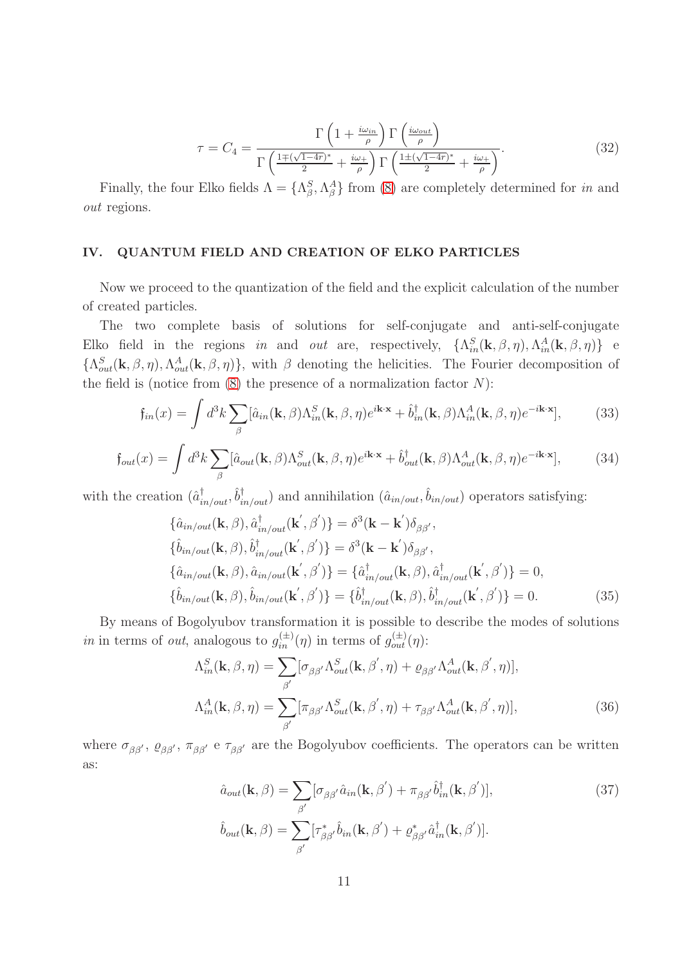<span id="page-10-1"></span>
$$
\tau = C_4 = \frac{\Gamma\left(1 + \frac{i\omega_{in}}{\rho}\right)\Gamma\left(\frac{i\omega_{out}}{\rho}\right)}{\Gamma\left(\frac{1 \pm (\sqrt{1-4r})^*}{2} + \frac{i\omega_+}{\rho}\right)\Gamma\left(\frac{1 \pm (\sqrt{1-4r})^*}{2} + \frac{i\omega_+}{\rho}\right)}.
$$
(32)

Finally, the four Elko fields  $\Lambda = \{\Lambda_\beta^S, \Lambda_\beta^A\}$  from [\(8\)](#page-3-1) are completely determined for *in* and out regions.

### IV. QUANTUM FIELD AND CREATION OF ELKO PARTICLES

Now we proceed to the quantization of the field and the explicit calculation of the number of created particles.

The two complete basis of solutions for self-conjugate and anti-self-conjugate Elko field in the regions in and out are, respectively,  $\{\Lambda_{in}^S(\mathbf{k},\beta,\eta),\Lambda_{in}^A(\mathbf{k},\beta,\eta)\}\$ e  $\{\Lambda_{out}^S(\mathbf{k}, \beta, \eta), \Lambda_{out}^A(\mathbf{k}, \beta, \eta)\}\,$ , with  $\beta$  denoting the helicities. The Fourier decomposition of the field is (notice from  $(8)$ ) the presence of a normalization factor N):

$$
\mathfrak{f}_{in}(x) = \int d^3k \sum_{\beta} [\hat{a}_{in}(\mathbf{k}, \beta) \Lambda_{in}^S(\mathbf{k}, \beta, \eta) e^{i\mathbf{k}\cdot\mathbf{x}} + \hat{b}_{in}^{\dagger}(\mathbf{k}, \beta) \Lambda_{in}^A(\mathbf{k}, \beta, \eta) e^{-i\mathbf{k}\cdot\mathbf{x}}],\tag{33}
$$

$$
f_{out}(x) = \int d^3k \sum_{\beta} [\hat{a}_{out}(\mathbf{k}, \beta) \Lambda_{out}^S(\mathbf{k}, \beta, \eta) e^{i\mathbf{k} \cdot \mathbf{x}} + \hat{b}_{out}^{\dagger}(\mathbf{k}, \beta) \Lambda_{out}^A(\mathbf{k}, \beta, \eta) e^{-i\mathbf{k} \cdot \mathbf{x}}],
$$
(34)

with the creation  $(\hat{a}_{in/out}^{\dagger}, \hat{b}_{in/out}^{\dagger})$  and annihilation  $(\hat{a}_{in/out}, \hat{b}_{in/out})$  operators satisfying:

<span id="page-10-0"></span>
$$
\{\hat{a}_{in/out}(\mathbf{k},\beta),\hat{a}_{in/out}^{\dagger}(\mathbf{k}',\beta')\} = \delta^3(\mathbf{k}-\mathbf{k}')\delta_{\beta\beta'},\{\hat{b}_{in/out}(\mathbf{k},\beta),\hat{b}_{in/out}^{\dagger}(\mathbf{k}',\beta')\} = \delta^3(\mathbf{k}-\mathbf{k}')\delta_{\beta\beta'},\{\hat{a}_{in/out}(\mathbf{k},\beta),\hat{a}_{in/out}(\mathbf{k}',\beta')\} = \{\hat{a}_{in/out}^{\dagger}(\mathbf{k},\beta),\hat{a}_{in/out}^{\dagger}(\mathbf{k}',\beta')\} = 0,\{\hat{b}_{in/out}(\mathbf{k},\beta),\hat{b}_{in/out}(\mathbf{k}',\beta')\} = \{\hat{b}_{in/out}^{\dagger}(\mathbf{k},\beta),\hat{b}_{in/out}^{\dagger}(\mathbf{k}',\beta')\} = 0.
$$
\n(35)

By means of Bogolyubov transformation it is possible to describe the modes of solutions in in terms of *out*, analogous to  $g_{in}^{(\pm)}(\eta)$  in terms of  $g_{out}^{(\pm)}(\eta)$ :

$$
\Lambda_{in}^{S}(\mathbf{k}, \beta, \eta) = \sum_{\beta'} [\sigma_{\beta\beta'} \Lambda_{out}^{S}(\mathbf{k}, \beta', \eta) + \varrho_{\beta\beta'} \Lambda_{out}^{A}(\mathbf{k}, \beta', \eta)],
$$

$$
\Lambda_{in}^{A}(\mathbf{k}, \beta, \eta) = \sum_{\beta'} [\pi_{\beta\beta'} \Lambda_{out}^{S}(\mathbf{k}, \beta', \eta) + \tau_{\beta\beta'} \Lambda_{out}^{A}(\mathbf{k}, \beta', \eta)],
$$
(36)

where  $\sigma_{\beta\beta'}, \rho_{\beta\beta'}, \pi_{\beta\beta'}$  e  $\tau_{\beta\beta'}$  are the Bogolyubov coefficients. The operators can be written as:

$$
\hat{a}_{out}(\mathbf{k}, \beta) = \sum_{\beta'} [\sigma_{\beta\beta'} \hat{a}_{in}(\mathbf{k}, \beta') + \pi_{\beta\beta'} \hat{b}_{in}^{\dagger}(\mathbf{k}, \beta')],
$$
\n
$$
\hat{b}_{out}(\mathbf{k}, \beta) = \sum_{\beta'} [\tau_{\beta\beta'}^{*} \hat{b}_{in}(\mathbf{k}, \beta') + \varrho_{\beta\beta'}^{*} \hat{a}_{in}^{\dagger}(\mathbf{k}, \beta')].
$$
\n(37)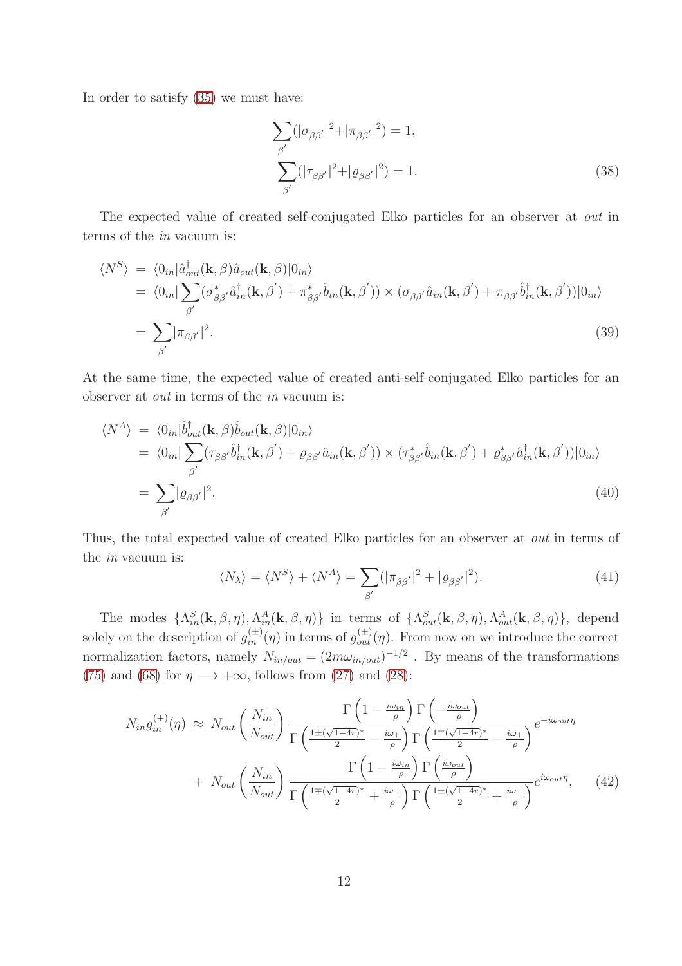In order to satisfy [\(35\)](#page-10-0) we must have:

<span id="page-11-2"></span>
$$
\sum_{\beta'} (|\sigma_{\beta\beta'}|^2 + |\pi_{\beta\beta'}|^2) = 1,
$$
  

$$
\sum_{\beta'} (|\tau_{\beta\beta'}|^2 + |\varrho_{\beta\beta'}|^2) = 1.
$$
 (38)

The expected value of created self-conjugated Elko particles for an observer at out in terms of the in vacuum is:

$$
\langle N^S \rangle = \langle 0_{in} | \hat{a}_{out}^{\dagger}(\mathbf{k}, \beta) \hat{a}_{out}(\mathbf{k}, \beta) | 0_{in} \rangle
$$
  
\n
$$
= \langle 0_{in} | \sum_{\beta'} (\sigma_{\beta\beta'}^* \hat{a}_{in}^{\dagger}(\mathbf{k}, \beta') + \pi_{\beta\beta'}^* \hat{b}_{in}(\mathbf{k}, \beta') \rangle \times (\sigma_{\beta\beta'} \hat{a}_{in}(\mathbf{k}, \beta') + \pi_{\beta\beta'} \hat{b}_{in}^{\dagger}(\mathbf{k}, \beta')) | 0_{in} \rangle
$$
  
\n
$$
= \sum_{\beta'} |\pi_{\beta\beta'}|^2.
$$
\n(39)

At the same time, the expected value of created anti-self-conjugated Elko particles for an observer at out in terms of the in vacuum is:

$$
\langle N^A \rangle = \langle 0_{in} | \hat{b}^{\dagger}_{out}(\mathbf{k}, \beta) \hat{b}_{out}(\mathbf{k}, \beta) | 0_{in} \rangle
$$
  
\n
$$
= \langle 0_{in} | \sum_{\beta'} (\tau_{\beta\beta'} \hat{b}^{\dagger}_{in}(\mathbf{k}, \beta') + \varrho_{\beta\beta'} \hat{a}_{in}(\mathbf{k}, \beta') \rangle \times (\tau_{\beta\beta'}^* \hat{b}_{in}(\mathbf{k}, \beta') + \varrho_{\beta\beta'}^* \hat{a}^{\dagger}_{in}(\mathbf{k}, \beta')) | 0_{in} \rangle
$$
  
\n
$$
= \sum_{\beta'} |\varrho_{\beta\beta'}|^2.
$$
\n(40)

Thus, the total expected value of created Elko particles for an observer at out in terms of the in vacuum is:

<span id="page-11-1"></span>
$$
\langle N_{\lambda} \rangle = \langle N^S \rangle + \langle N^A \rangle = \sum_{\beta'} (|\pi_{\beta\beta'}|^2 + |\varrho_{\beta\beta'}|^2). \tag{41}
$$

The modes  $\{\Lambda_{in}^{S}(\mathbf{k},\beta,\eta),\Lambda_{in}^{A}(\mathbf{k},\beta,\eta)\}\$ in terms of  $\{\Lambda_{out}^{S}(\mathbf{k},\beta,\eta),\Lambda_{out}^{A}(\mathbf{k},\beta,\eta)\}\$ , depend solely on the description of  $g_{in}^{(\pm)}(\eta)$  in terms of  $g_{out}^{(\pm)}(\eta)$ . From now on we introduce the correct normalization factors, namely  $N_{in/out} = (2m\omega_{in/out})^{-1/2}$ . By means of the transformations [\(75\)](#page-22-1) and [\(68\)](#page-21-0) for  $\eta \longrightarrow +\infty$ , follows from [\(27\)](#page-9-0) and [\(28\)](#page-9-1):

<span id="page-11-0"></span>
$$
N_{in}g_{in}^{(+)}(\eta) \approx N_{out} \left(\frac{N_{in}}{N_{out}}\right) \frac{\Gamma\left(1 - \frac{i\omega_{in}}{\rho}\right)\Gamma\left(-\frac{i\omega_{out}}{\rho}\right)}{\Gamma\left(\frac{1 \pm (\sqrt{1-4r})^*}{2} - \frac{i\omega_{+}}{\rho}\right)\Gamma\left(\frac{1 \pm (\sqrt{1-4r})^*}{2} - \frac{i\omega_{+}}{\rho}\right)} e^{-i\omega_{out}\eta}
$$
  
+ 
$$
N_{out} \left(\frac{N_{in}}{N_{out}}\right) \frac{\Gamma\left(1 - \frac{i\omega_{in}}{\rho}\right)\Gamma\left(\frac{i\omega_{out}}{\rho}\right)}{\Gamma\left(\frac{1 \pm (\sqrt{1-4r})^*}{2} + \frac{i\omega_{-}}{\rho}\right)\Gamma\left(\frac{1 \pm (\sqrt{1-4r})^*}{2} + \frac{i\omega_{-}}{\rho}\right)} e^{i\omega_{out}\eta}, \quad (42)
$$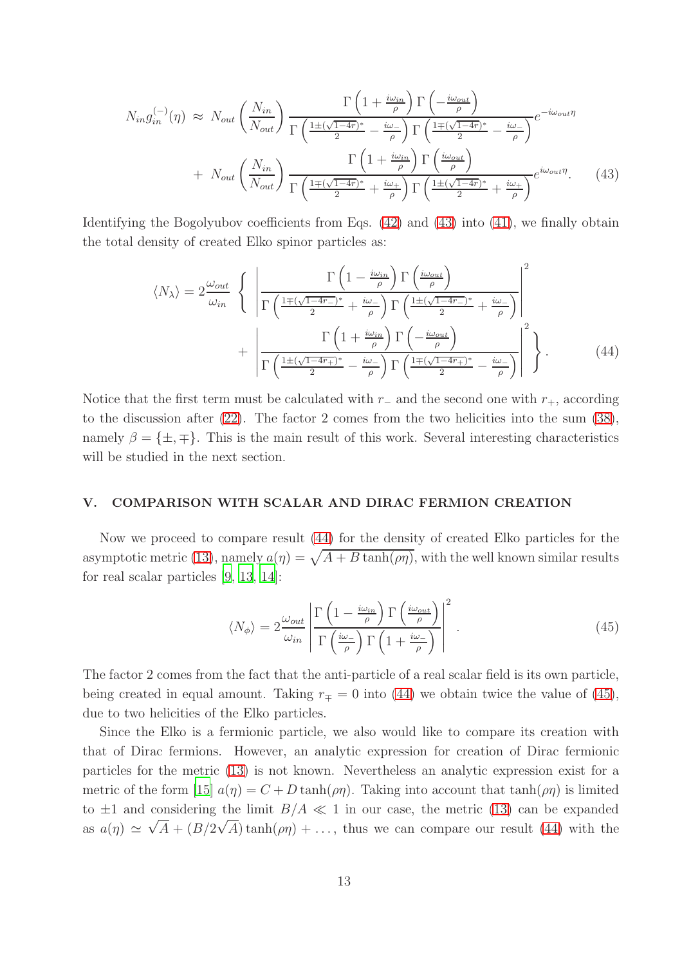<span id="page-12-0"></span>
$$
N_{in}g_{in}^{(-)}(\eta) \approx N_{out} \left(\frac{N_{in}}{N_{out}}\right) \frac{\Gamma\left(1 + \frac{i\omega_{in}}{\rho}\right)\Gamma\left(-\frac{i\omega_{out}}{\rho}\right)}{\Gamma\left(\frac{1 \pm (\sqrt{1-4r})^*}{2} - \frac{i\omega_{-}}{\rho}\right)\Gamma\left(\frac{1 \mp (\sqrt{1-4r})^*}{2} - \frac{i\omega_{-}}{\rho}\right)} e^{-i\omega_{out}\eta}
$$
  
+ 
$$
N_{out} \left(\frac{N_{in}}{N_{out}}\right) \frac{\Gamma\left(1 + \frac{i\omega_{in}}{\rho}\right)\Gamma\left(\frac{i\omega_{out}}{\rho}\right)}{\Gamma\left(\frac{1 \mp (\sqrt{1-4r})^*}{2} + \frac{i\omega_{+}}{\rho}\right)\Gamma\left(\frac{1 \pm (\sqrt{1-4r})^*}{2} + \frac{i\omega_{+}}{\rho}\right)} e^{i\omega_{out}\eta}.
$$
 (43)

Identifying the Bogolyubov coefficients from Eqs. [\(42\)](#page-11-0) and [\(43\)](#page-12-0) into [\(41\)](#page-11-1), we finally obtain the total density of created Elko spinor particles as:

<span id="page-12-1"></span>
$$
\langle N_{\lambda} \rangle = 2 \frac{\omega_{out}}{\omega_{in}} \left\{ \left| \frac{\Gamma\left(1 - \frac{i\omega_{in}}{\rho}\right) \Gamma\left(\frac{i\omega_{out}}{\rho}\right)}{\Gamma\left(\frac{1 \pm (\sqrt{1 - 4r_{-}})^{*}}{2} + \frac{i\omega_{-}}{\rho}\right) \Gamma\left(\frac{1 \pm (\sqrt{1 - 4r_{-}})^{*}}{2} + \frac{i\omega_{-}}{\rho}\right)} \right|^{2} + \left| \frac{\Gamma\left(1 + \frac{i\omega_{in}}{\rho}\right) \Gamma\left(-\frac{i\omega_{out}}{\rho}\right)}{\Gamma\left(\frac{1 \pm (\sqrt{1 - 4r_{+}})^{*}}{2} - \frac{i\omega_{-}}{\rho}\right) \Gamma\left(\frac{1 \mp (\sqrt{1 - 4r_{+}})^{*}}{2} - \frac{i\omega_{-}}{\rho}\right)} \right|^{2} \right\}.
$$
(44)

Notice that the first term must be calculated with  $r_+$  and the second one with  $r_+$ , according to the discussion after [\(22\)](#page-7-3). The factor 2 comes from the two helicities into the sum [\(38\)](#page-11-2), namely  $\beta = {\pm, \mp}$ . This is the main result of this work. Several interesting characteristics will be studied in the next section.

#### V. COMPARISON WITH SCALAR AND DIRAC FERMION CREATION

Now we proceed to compare result [\(44\)](#page-12-1) for the density of created Elko particles for the asymptotic metric [\(13\)](#page-6-0), namely  $a(\eta) = \sqrt{A + B \tanh(\rho \eta)}$ , with the well known similar results for real scalar particles [\[9,](#page-25-4) [13,](#page-25-11) [14\]](#page-25-12):

<span id="page-12-2"></span>
$$
\langle N_{\phi} \rangle = 2 \frac{\omega_{out}}{\omega_{in}} \left| \frac{\Gamma \left( 1 - \frac{i\omega_{in}}{\rho} \right) \Gamma \left( \frac{i\omega_{out}}{\rho} \right)}{\Gamma \left( \frac{i\omega}{\rho} \right) \Gamma \left( 1 + \frac{i\omega}{\rho} \right)} \right|^2.
$$
\n(45)

The factor 2 comes from the fact that the anti-particle of a real scalar field is its own particle, being created in equal amount. Taking  $r_{\mp} = 0$  into [\(44\)](#page-12-1) we obtain twice the value of [\(45\)](#page-12-2), due to two helicities of the Elko particles.

Since the Elko is a fermionic particle, we also would like to compare its creation with that of Dirac fermions. However, an analytic expression for creation of Dirac fermionic particles for the metric [\(13\)](#page-6-0) is not known. Nevertheless an analytic expression exist for a metric of the form [\[15](#page-25-13)]  $a(\eta) = C + D \tanh(\rho \eta)$ . Taking into account that  $\tanh(\rho \eta)$  is limited to  $\pm 1$  and considering the limit  $B/A \ll 1$  in our case, the metric [\(13\)](#page-6-0) can be expanded as  $a(\eta) \simeq \sqrt{A} + (B/2\sqrt{A})\tanh(\rho\eta) + \ldots$ , thus we can compare our result [\(44\)](#page-12-1) with the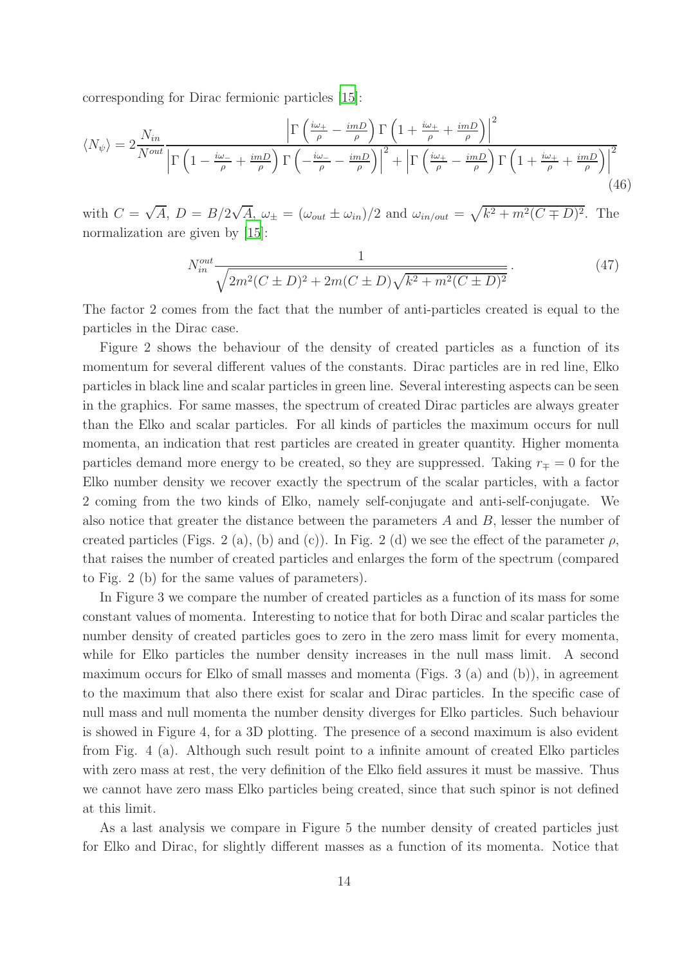corresponding for Dirac fermionic particles [\[15\]](#page-25-13):

$$
\langle N_{\psi} \rangle = 2 \frac{N_{in}}{N^{out}} \frac{\left| \Gamma \left( \frac{i\omega_{+}}{\rho} - \frac{imD}{\rho} \right) \Gamma \left( 1 + \frac{i\omega_{+}}{\rho} + \frac{imD}{\rho} \right) \right|^{2}}{\left| \Gamma \left( 1 - \frac{i\omega_{-}}{\rho} + \frac{imD}{\rho} \right) \Gamma \left( -\frac{i\omega_{-}}{\rho} - \frac{imD}{\rho} \right) \right|^{2} + \left| \Gamma \left( \frac{i\omega_{+}}{\rho} - \frac{imD}{\rho} \right) \Gamma \left( 1 + \frac{i\omega_{+}}{\rho} + \frac{imD}{\rho} \right) \right|^{2}} \tag{46}
$$

with  $C = \sqrt{A}$ ,  $D = B/2\sqrt{A}$ ,  $\omega_{\pm} = (\omega_{out} \pm \omega_{in})/2$  and  $\omega_{in/out} = \sqrt{k^2 + m^2(C \mp D)^2}$ . The normalization are given by [\[15\]](#page-25-13):

$$
N_{in}^{out} \frac{1}{\sqrt{2m^2(C \pm D)^2 + 2m(C \pm D)\sqrt{k^2 + m^2(C \pm D)^2}}}.
$$
\n(47)

The factor 2 comes from the fact that the number of anti-particles created is equal to the particles in the Dirac case.

Figure 2 shows the behaviour of the density of created particles as a function of its momentum for several different values of the constants. Dirac particles are in red line, Elko particles in black line and scalar particles in green line. Several interesting aspects can be seen in the graphics. For same masses, the spectrum of created Dirac particles are always greater than the Elko and scalar particles. For all kinds of particles the maximum occurs for null momenta, an indication that rest particles are created in greater quantity. Higher momenta particles demand more energy to be created, so they are suppressed. Taking  $r<sub>mp</sub> = 0$  for the Elko number density we recover exactly the spectrum of the scalar particles, with a factor 2 coming from the two kinds of Elko, namely self-conjugate and anti-self-conjugate. We also notice that greater the distance between the parameters  $A$  and  $B$ , lesser the number of created particles (Figs. 2 (a), (b) and (c)). In Fig. 2 (d) we see the effect of the parameter  $\rho$ , that raises the number of created particles and enlarges the form of the spectrum (compared to Fig. 2 (b) for the same values of parameters).

In Figure 3 we compare the number of created particles as a function of its mass for some constant values of momenta. Interesting to notice that for both Dirac and scalar particles the number density of created particles goes to zero in the zero mass limit for every momenta, while for Elko particles the number density increases in the null mass limit. A second maximum occurs for Elko of small masses and momenta (Figs. 3 (a) and (b)), in agreement to the maximum that also there exist for scalar and Dirac particles. In the specific case of null mass and null momenta the number density diverges for Elko particles. Such behaviour is showed in Figure 4, for a 3D plotting. The presence of a second maximum is also evident from Fig. 4 (a). Although such result point to a infinite amount of created Elko particles with zero mass at rest, the very definition of the Elko field assures it must be massive. Thus we cannot have zero mass Elko particles being created, since that such spinor is not defined at this limit.

As a last analysis we compare in Figure 5 the number density of created particles just for Elko and Dirac, for slightly different masses as a function of its momenta. Notice that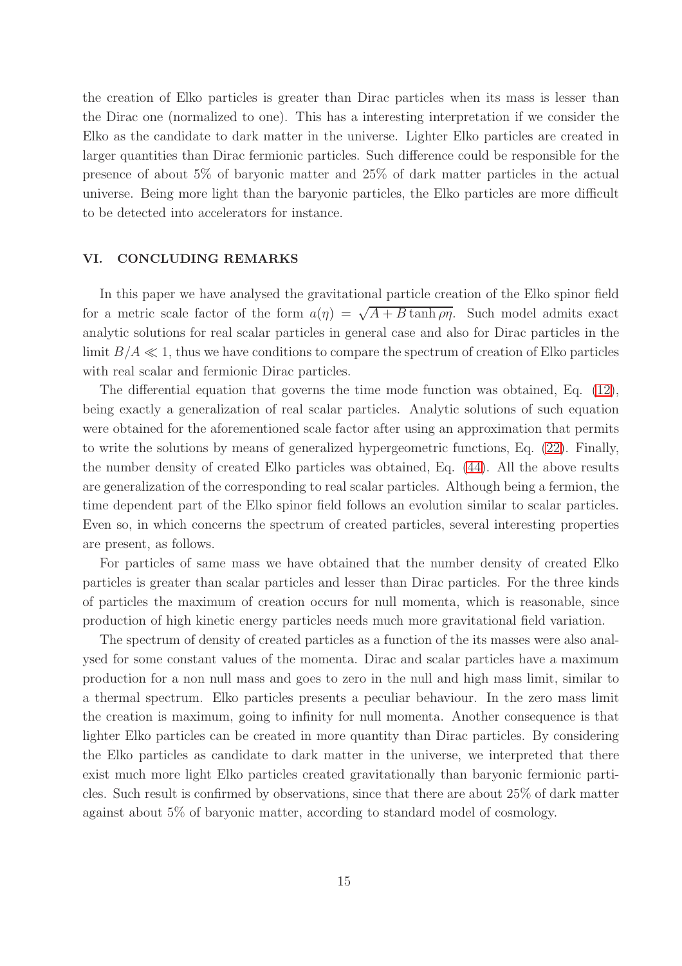the creation of Elko particles is greater than Dirac particles when its mass is lesser than the Dirac one (normalized to one). This has a interesting interpretation if we consider the Elko as the candidate to dark matter in the universe. Lighter Elko particles are created in larger quantities than Dirac fermionic particles. Such difference could be responsible for the presence of about 5% of baryonic matter and 25% of dark matter particles in the actual universe. Being more light than the baryonic particles, the Elko particles are more difficult to be detected into accelerators for instance.

## VI. CONCLUDING REMARKS

In this paper we have analysed the gravitational particle creation of the Elko spinor field for a metric scale factor of the form  $a(\eta) = \sqrt{A+B \tanh \rho \eta}$ . Such model admits exact analytic solutions for real scalar particles in general case and also for Dirac particles in the limit  $B/A \ll 1$ , thus we have conditions to compare the spectrum of creation of Elko particles with real scalar and fermionic Dirac particles.

The differential equation that governs the time mode function was obtained, Eq. [\(12\)](#page-5-0), being exactly a generalization of real scalar particles. Analytic solutions of such equation were obtained for the aforementioned scale factor after using an approximation that permits to write the solutions by means of generalized hypergeometric functions, Eq. [\(22\)](#page-7-3). Finally, the number density of created Elko particles was obtained, Eq. [\(44\)](#page-12-1). All the above results are generalization of the corresponding to real scalar particles. Although being a fermion, the time dependent part of the Elko spinor field follows an evolution similar to scalar particles. Even so, in which concerns the spectrum of created particles, several interesting properties are present, as follows.

For particles of same mass we have obtained that the number density of created Elko particles is greater than scalar particles and lesser than Dirac particles. For the three kinds of particles the maximum of creation occurs for null momenta, which is reasonable, since production of high kinetic energy particles needs much more gravitational field variation.

The spectrum of density of created particles as a function of the its masses were also analysed for some constant values of the momenta. Dirac and scalar particles have a maximum production for a non null mass and goes to zero in the null and high mass limit, similar to a thermal spectrum. Elko particles presents a peculiar behaviour. In the zero mass limit the creation is maximum, going to infinity for null momenta. Another consequence is that lighter Elko particles can be created in more quantity than Dirac particles. By considering the Elko particles as candidate to dark matter in the universe, we interpreted that there exist much more light Elko particles created gravitationally than baryonic fermionic particles. Such result is confirmed by observations, since that there are about 25% of dark matter against about 5% of baryonic matter, according to standard model of cosmology.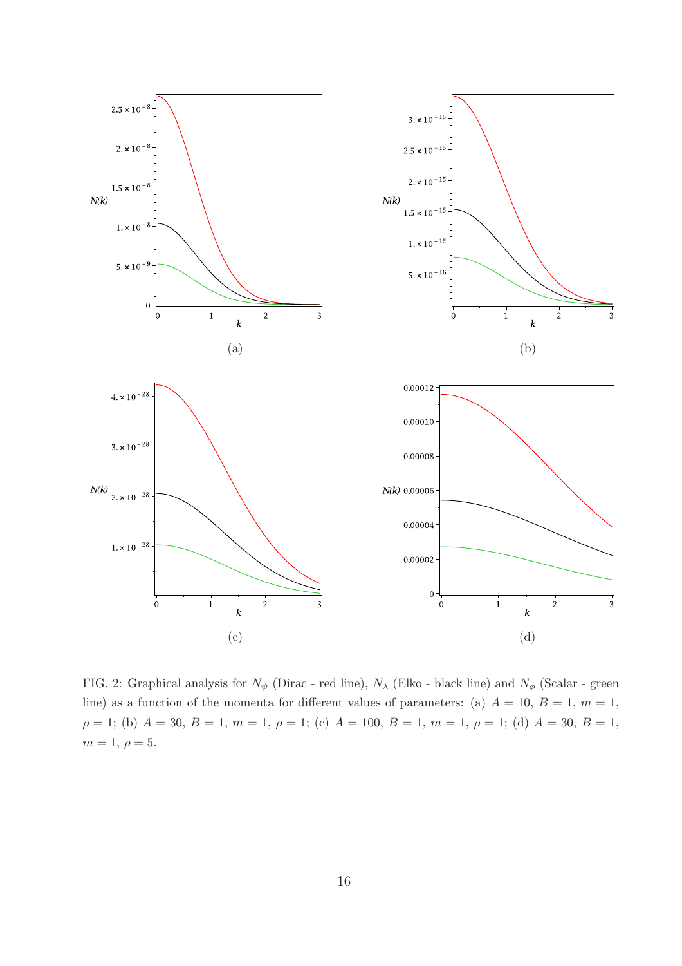

FIG. 2: Graphical analysis for  $N_{\psi}$  (Dirac - red line),  $N_{\lambda}$  (Elko - black line) and  $N_{\phi}$  (Scalar - green line) as a function of the momenta for different values of parameters: (a)  $A = 10, B = 1, m = 1$ ,  $\rho = 1$ ; (b)  $A = 30, B = 1, m = 1, \rho = 1$ ; (c)  $A = 100, B = 1, m = 1, \rho = 1$ ; (d)  $A = 30, B = 1$ ,  $m = 1, \, \rho = 5.$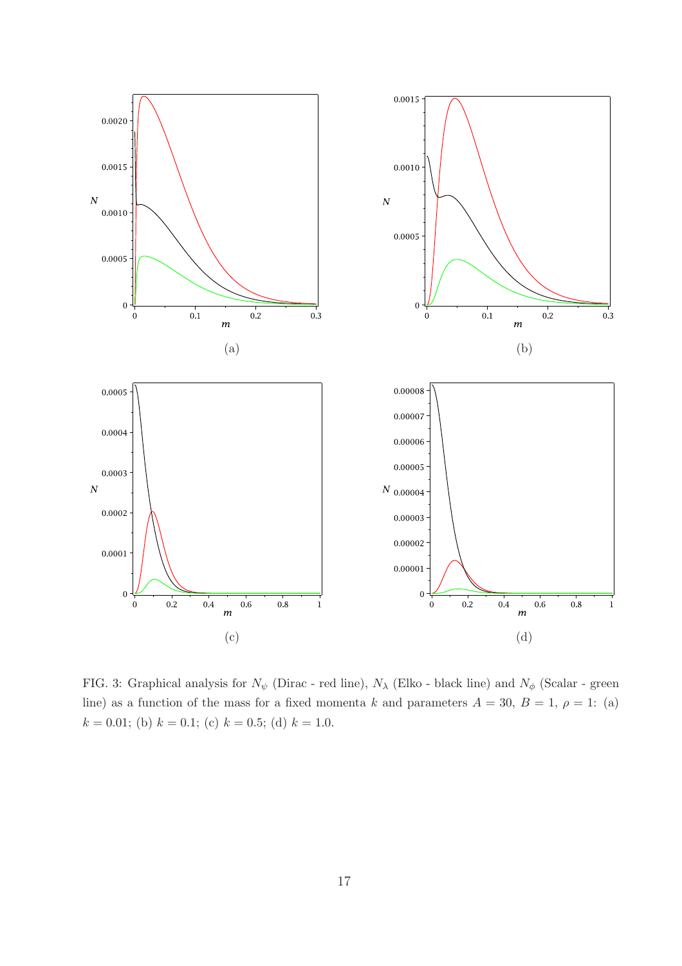

FIG. 3: Graphical analysis for  $N_{\psi}$  (Dirac - red line),  $N_{\lambda}$  (Elko - black line) and  $N_{\phi}$  (Scalar - green line) as a function of the mass for a fixed momenta k and parameters  $A = 30, B = 1, \rho = 1$ : (a)  $k = 0.01$ ; (b)  $k = 0.1$ ; (c)  $k = 0.5$ ; (d)  $k = 1.0$ .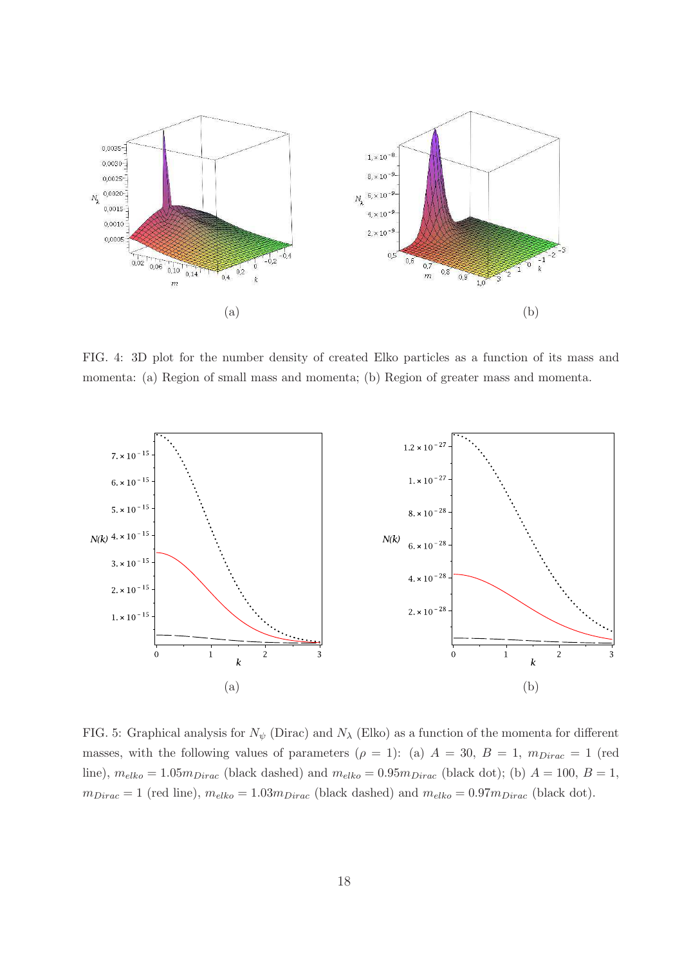

FIG. 4: 3D plot for the number density of created Elko particles as a function of its mass and momenta: (a) Region of small mass and momenta; (b) Region of greater mass and momenta.



FIG. 5: Graphical analysis for  $N_{\psi}$  (Dirac) and  $N_{\lambda}$  (Elko) as a function of the momenta for different masses, with the following values of parameters ( $\rho = 1$ ): (a)  $A = 30$ ,  $B = 1$ ,  $m_{Dirac} = 1$  (red line),  $m_{elko} = 1.05 m_{Dirac}$  (black dashed) and  $m_{elko} = 0.95 m_{Dirac}$  (black dot); (b)  $A = 100$ ,  $B = 1$ ,  $m_{Dirac} = 1$  (red line),  $m_{elko} = 1.03 m_{Dirac}$  (black dashed) and  $m_{elko} = 0.97 m_{Dirac}$  (black dot).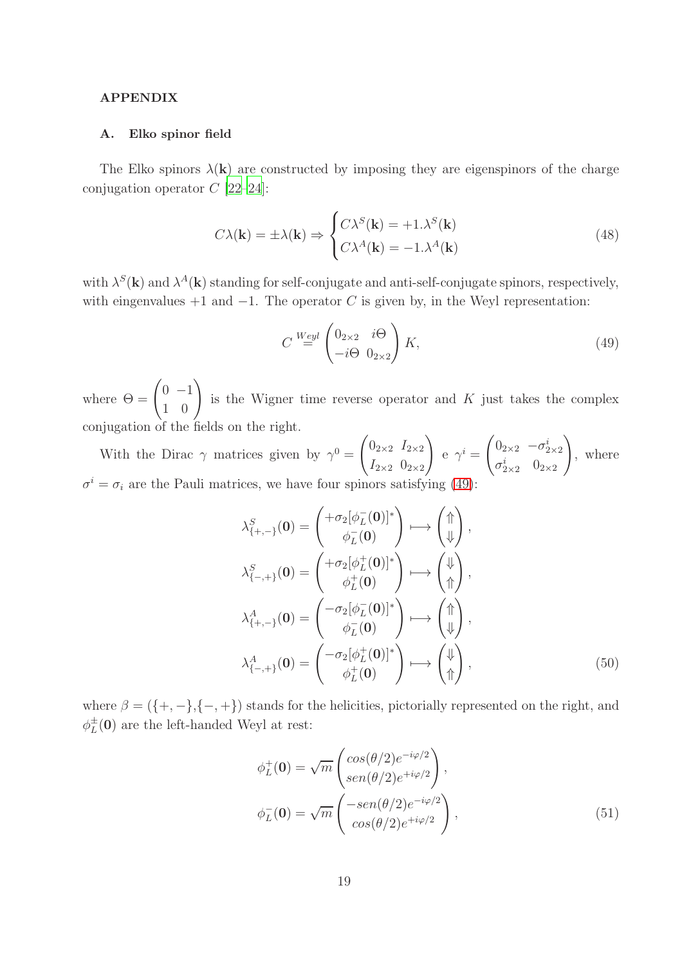## APPENDIX

#### A. Elko spinor field

The Elko spinors  $\lambda(\mathbf{k})$  are constructed by imposing they are eigenspinors of the charge conjugation operator  $C$  [\[22](#page-26-1)[–24](#page-26-2)]:

$$
C\lambda(\mathbf{k}) = \pm \lambda(\mathbf{k}) \Rightarrow \begin{cases} C\lambda^S(\mathbf{k}) = +1.\lambda^S(\mathbf{k})\\ C\lambda^A(\mathbf{k}) = -1.\lambda^A(\mathbf{k}) \end{cases}
$$
(48)

with  $\lambda^{S}(\mathbf{k})$  and  $\lambda^{A}(\mathbf{k})$  standing for self-conjugate and anti-self-conjugate spinors, respectively, with eingenvalues  $+1$  and  $-1$ . The operator C is given by, in the Weyl representation:

<span id="page-18-0"></span>
$$
C \stackrel{Weyl}{=} \begin{pmatrix} 0_{2\times 2} & i\Theta \\ -i\Theta & 0_{2\times 2} \end{pmatrix} K,\tag{49}
$$

where  $\Theta = \begin{pmatrix} 0 & -1 \\ 1 & 0 \end{pmatrix}$ is the Wigner time reverse operator and  $K$  just takes the complex conjugation of the fields on the right.

With the Dirac  $\gamma$  matrices given by  $\gamma^0 =$  $\int 0_{2\times 2}$   $I_{2\times 2}$  $I_{2\times2}$   $0_{2\times2}$  $\setminus$ e  $\gamma^i =$  $\int 0_{2\times 2}$   $-\sigma_{2\times 2}^i$  $\sigma_{2\times2}^i$   $0_{2\times2}$  $\setminus$ , where  $\sigma^i = \sigma_i$  are the Pauli matrices, we have four spinors satisfying [\(49\)](#page-18-0):

$$
\lambda_{\{+, -\}}^{S}(\mathbf{0}) = \begin{pmatrix} +\sigma_2[\phi_L^-(\mathbf{0})]^* \\ \phi_L^-(\mathbf{0}) \end{pmatrix} \longrightarrow \begin{pmatrix} \uparrow \\ \uparrow \\ \downarrow \end{pmatrix},
$$
\n
$$
\lambda_{\{-, +\}}^{S}(\mathbf{0}) = \begin{pmatrix} +\sigma_2[\phi_L^+(\mathbf{0})]^* \\ \phi_L^+(\mathbf{0}) \end{pmatrix} \longrightarrow \begin{pmatrix} \downarrow \\ \uparrow \\ \uparrow \end{pmatrix},
$$
\n
$$
\lambda_{\{+, -\}}^{A}(\mathbf{0}) = \begin{pmatrix} -\sigma_2[\phi_L^-(\mathbf{0})]^* \\ \phi_L^-(\mathbf{0}) \end{pmatrix} \longrightarrow \begin{pmatrix} \uparrow \\ \uparrow \\ \downarrow \end{pmatrix},
$$
\n
$$
\lambda_{\{-, +\}}^{A}(\mathbf{0}) = \begin{pmatrix} -\sigma_2[\phi_L^+(\mathbf{0})]^* \\ \phi_L^+(\mathbf{0}) \end{pmatrix} \longrightarrow \begin{pmatrix} \downarrow \\ \uparrow \\ \uparrow \end{pmatrix},
$$
\n(50)

where  $\beta = (\{+, -\}, \{-, +\})$  stands for the helicities, pictorially represented on the right, and  $\phi_L^{\pm}(0)$  are the left-handed Weyl at rest:

$$
\phi_L^+(0) = \sqrt{m} \begin{pmatrix} \cos(\theta/2)e^{-i\varphi/2} \\ \sin(\theta/2)e^{+i\varphi/2} \end{pmatrix},
$$

$$
\phi_L^-(0) = \sqrt{m} \begin{pmatrix} -\sin(\theta/2)e^{-i\varphi/2} \\ \cos(\theta/2)e^{+i\varphi/2} \end{pmatrix},
$$
(51)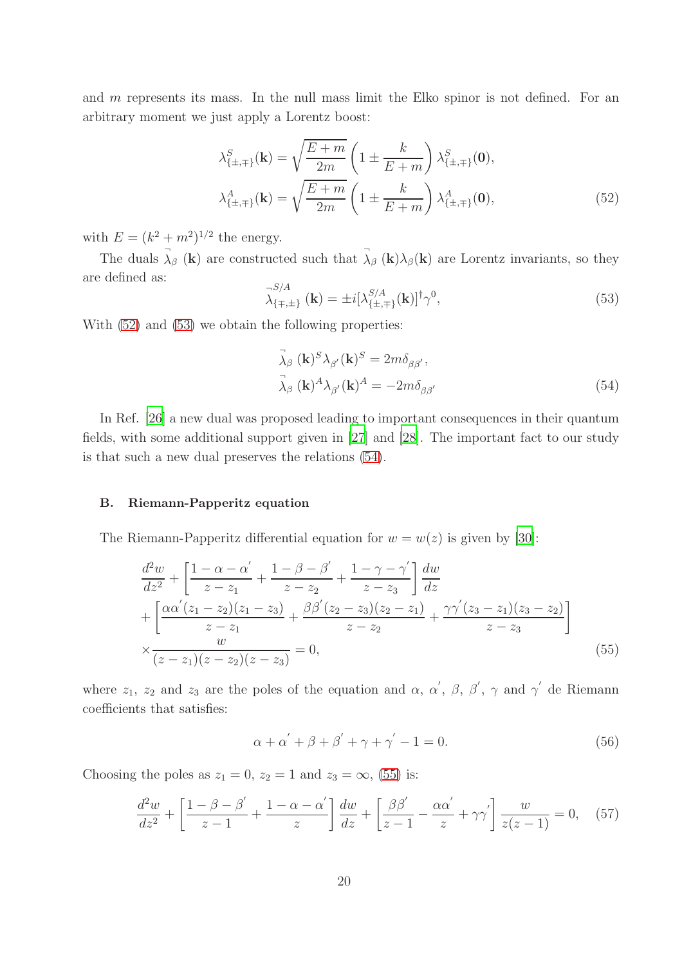and m represents its mass. In the null mass limit the Elko spinor is not defined. For an arbitrary moment we just apply a Lorentz boost:

<span id="page-19-0"></span>
$$
\lambda_{\{\pm,\mp\}}^{S}(\mathbf{k}) = \sqrt{\frac{E+m}{2m}} \left( 1 \pm \frac{k}{E+m} \right) \lambda_{\{\pm,\mp\}}^{S}(\mathbf{0}),
$$

$$
\lambda_{\{\pm,\mp\}}^{A}(\mathbf{k}) = \sqrt{\frac{E+m}{2m}} \left( 1 \pm \frac{k}{E+m} \right) \lambda_{\{\pm,\mp\}}^{A}(\mathbf{0}),
$$
(52)

with  $E = (k^2 + m^2)^{1/2}$  the energy.

The duals  $\vec{\lambda}_{\beta}$  (k) are constructed such that  $\vec{\lambda}_{\beta}$  (k) $\lambda_{\beta}$ (k) are Lorentz invariants, so they are defined as:

<span id="page-19-1"></span>
$$
\lambda_{\{\mp,\pm\}}^{S/A}(\mathbf{k}) = \pm i[\lambda_{\{\pm,\mp\}}^{S/A}(\mathbf{k})]^{\dagger} \gamma^{0},\tag{53}
$$

With  $(52)$  and  $(53)$  we obtain the following properties:

<span id="page-19-2"></span>
$$
\vec{\lambda}_{\beta} (\mathbf{k})^{S} \lambda_{\beta'} (\mathbf{k})^{S} = 2m \delta_{\beta \beta'},
$$
  

$$
\vec{\lambda}_{\beta} (\mathbf{k})^{A} \lambda_{\beta'} (\mathbf{k})^{A} = -2m \delta_{\beta \beta'}
$$
(54)

In Ref. [\[26](#page-26-4)] a new dual was proposed leading to important consequences in their quantum fields, with some additional support given in [\[27](#page-26-5)] and [\[28](#page-26-6)]. The important fact to our study is that such a new dual preserves the relations [\(54\)](#page-19-2).

#### B. Riemann-Papperitz equation

The Riemann-Papperitz differential equation for  $w = w(z)$  is given by [\[30\]](#page-26-7):

<span id="page-19-3"></span>
$$
\frac{d^2w}{dz^2} + \left[ \frac{1 - \alpha - \alpha'}{z - z_1} + \frac{1 - \beta - \beta'}{z - z_2} + \frac{1 - \gamma - \gamma'}{z - z_3} \right] \frac{dw}{dz} \n+ \left[ \frac{\alpha \alpha'(z_1 - z_2)(z_1 - z_3)}{z - z_1} + \frac{\beta \beta'(z_2 - z_3)(z_2 - z_1)}{z - z_2} + \frac{\gamma \gamma'(z_3 - z_1)(z_3 - z_2)}{z - z_3} \right] \n\times \frac{w}{(z - z_1)(z - z_2)(z - z_3)} = 0,
$$
\n(55)

where  $z_1$ ,  $z_2$  and  $z_3$  are the poles of the equation and  $\alpha$ ,  $\alpha'$ ,  $\beta$ ,  $\beta'$ ,  $\gamma$  and  $\gamma'$  de Riemann coefficients that satisfies:

$$
\alpha + \alpha^{'} + \beta + \beta^{'} + \gamma + \gamma^{'} - 1 = 0. \tag{56}
$$

Choosing the poles as  $z_1 = 0$ ,  $z_2 = 1$  and  $z_3 = \infty$ , [\(55\)](#page-19-3) is:

<span id="page-19-4"></span>
$$
\frac{d^2w}{dz^2} + \left[\frac{1-\beta-\beta'}{z-1} + \frac{1-\alpha-\alpha'}{z}\right]\frac{dw}{dz} + \left[\frac{\beta\beta'}{z-1} - \frac{\alpha\alpha'}{z} + \gamma\gamma'\right]\frac{w}{z(z-1)} = 0,\tag{57}
$$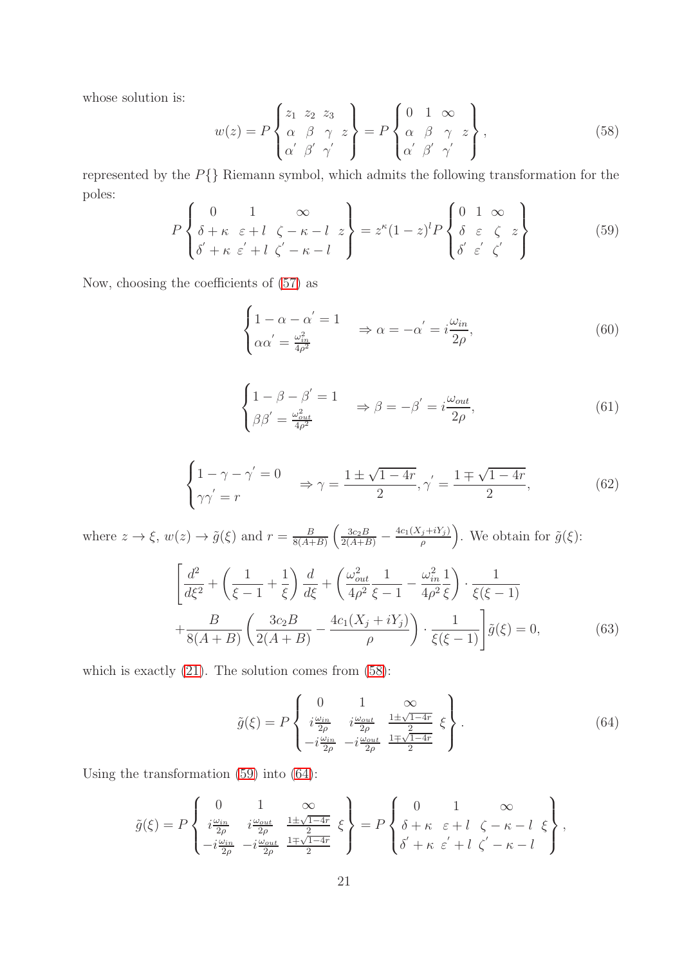whose solution is:

<span id="page-20-0"></span>
$$
w(z) = P\begin{Bmatrix} z_1 & z_2 & z_3 \\ \alpha & \beta & \gamma & z \\ \alpha' & \beta' & \gamma' \end{Bmatrix} = P\begin{Bmatrix} 0 & 1 & \infty \\ \alpha & \beta & \gamma & z \\ \alpha' & \beta' & \gamma' \end{Bmatrix},
$$
(58)

represented by the  $P\{\}$  Riemann symbol, which admits the following transformation for the poles:

<span id="page-20-1"></span>
$$
P\left\{\begin{array}{ll}\n0 & 1 & \infty \\
\delta + \kappa & \varepsilon + l & \zeta - \kappa - l & z \\
\delta' + \kappa & \varepsilon' + l & \zeta' - \kappa - l\n\end{array}\right\} = z^{\kappa}(1-z)^{l}P\left\{\begin{array}{ll}\n0 & 1 & \infty \\
\delta & \varepsilon & \zeta & z \\
\delta' & \varepsilon' & \zeta'\n\end{array}\right\} \tag{59}
$$

Now, choosing the coefficients of [\(57\)](#page-19-4) as

$$
\begin{cases} 1 - \alpha - \alpha' = 1 \\ \alpha \alpha' = \frac{\omega_{in}^2}{4\rho^2} \end{cases} \Rightarrow \alpha = -\alpha' = i\frac{\omega_{in}}{2\rho}, \tag{60}
$$

$$
\begin{cases} 1 - \beta - \beta' = 1 \\ \beta \beta' = \frac{\omega_{out}^2}{4\rho^2} \end{cases} \Rightarrow \beta = -\beta' = i\frac{\omega_{out}}{2\rho}, \tag{61}
$$

$$
\begin{cases} 1 - \gamma - \gamma' = 0 \\ \gamma \gamma' = r \end{cases} \Rightarrow \gamma = \frac{1 \pm \sqrt{1 - 4r}}{2}, \gamma' = \frac{1 \mp \sqrt{1 - 4r}}{2}, \tag{62}
$$

where  $z \to \xi$ ,  $w(z) \to \tilde{g}(\xi)$  and  $r = \frac{B}{8(A + \xi)}$  $\frac{B}{8(A+B)}\left(\frac{3c_2B}{2(A+B)}-\frac{4c_1(X_j+iY_j)}{\rho}\right)$  $\left(\frac{\tilde{g}+iY_j}{\rho}\right)$ . We obtain for  $\tilde{g}(\xi)$ :

$$
\left[\frac{d^2}{d\xi^2} + \left(\frac{1}{\xi - 1} + \frac{1}{\xi}\right)\frac{d}{d\xi} + \left(\frac{\omega_{out}^2}{4\rho^2}\frac{1}{\xi - 1} - \frac{\omega_{in}^2}{4\rho^2}\frac{1}{\xi}\right) \cdot \frac{1}{\xi(\xi - 1)}\right] + \frac{B}{8(A + B)} \left(\frac{3c_2B}{2(A + B)} - \frac{4c_1(X_j + iY_j)}{\rho}\right) \cdot \frac{1}{\xi(\xi - 1)}\right] \tilde{g}(\xi) = 0,
$$
\n(63)

which is exactly  $(21)$ . The solution comes from  $(58)$ :

<span id="page-20-2"></span>
$$
\tilde{g}(\xi) = P \begin{Bmatrix} 0 & 1 & \infty \\ i\frac{\omega_{in}}{2\rho} & i\frac{\omega_{out}}{2\rho} & \frac{1 \pm \sqrt{1-4r}}{2} \\ -i\frac{\omega_{in}}{2\rho} & -i\frac{\omega_{out}}{2\rho} & \frac{1 \mp \sqrt{1-4r}}{2} \end{Bmatrix} . \tag{64}
$$

Using the transformation [\(59\)](#page-20-1) into [\(64\)](#page-20-2):

$$
\tilde{g}(\xi) = P \left\{ \begin{array}{ll} 0 & 1 & \infty \\ i \frac{\omega_{in}}{2\rho} & i \frac{\omega_{out}}{2\rho} & \frac{1 \pm \sqrt{1-4r}}{2} \\ -i \frac{\omega_{in}}{2\rho} & -i \frac{\omega_{out}}{2\rho} & \frac{1 \mp \sqrt{1-4r}}{2} \end{array} \xi \right\} = P \left\{ \begin{array}{ll} 0 & 1 & \infty \\ \delta + \kappa & \varepsilon + l & \zeta - \kappa - l & \xi \\ \delta' + \kappa & \varepsilon' + l & \zeta' - \kappa - l \end{array} \right\},
$$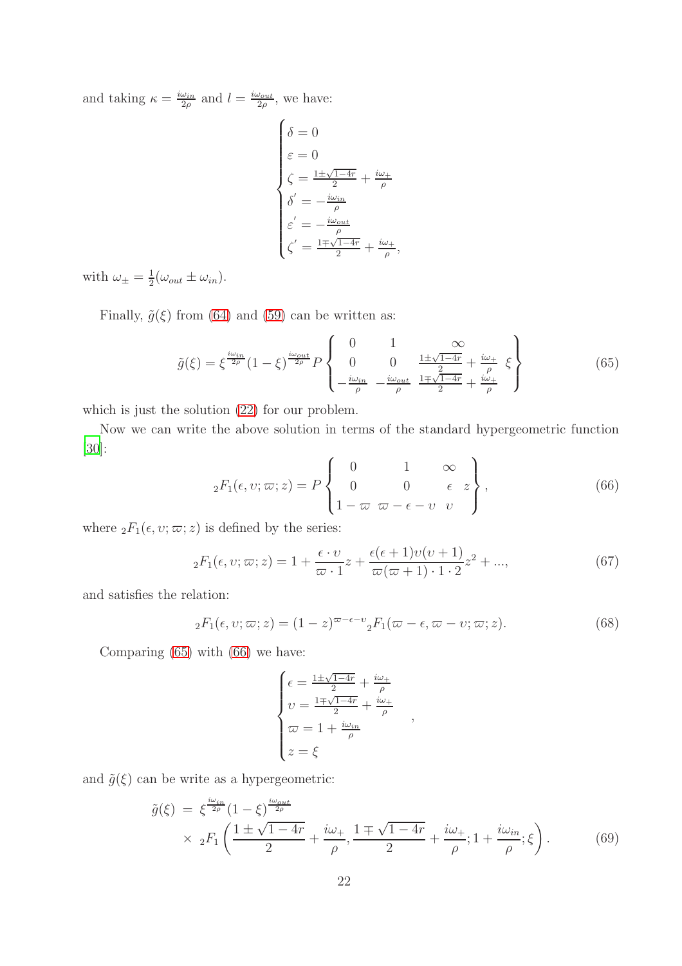and taking  $\kappa = \frac{i\omega_{in}}{2g}$  $\frac{\omega_{in}}{2\rho}$  and  $l = \frac{i\omega_{out}}{2\rho}$  $\frac{\omega_{out}}{2\rho}$ , we have:

$$
\begin{cases}\n\delta = 0 \\
\varepsilon = 0 \\
\zeta = \frac{1 \pm \sqrt{1 - 4r}}{2} + \frac{i\omega_{+}}{\rho} \\
\delta' = -\frac{i\omega_{in}}{\rho} \\
\varepsilon' = -\frac{i\omega_{out}}{\rho} \\
\zeta' = \frac{1 \mp \sqrt{1 - 4r}}{2} + \frac{i\omega_{+}}{\rho},\n\end{cases}
$$

with  $\omega_{\pm} = \frac{1}{2}$  $\frac{1}{2}(\omega_{out} \pm \omega_{in}).$ 

Finally,  $\tilde{g}(\xi)$  from [\(64\)](#page-20-2) and [\(59\)](#page-20-1) can be written as:

<span id="page-21-1"></span>
$$
\tilde{g}(\xi) = \xi^{\frac{i\omega_{in}}{2\rho}} (1 - \xi)^{\frac{i\omega_{out}}{2\rho}} P \begin{Bmatrix} 0 & 1 & \infty \\ 0 & 0 & \frac{1 \pm \sqrt{1 - 4r}}{2} + \frac{i\omega_+}{\rho} \\ -\frac{i\omega_{in}}{\rho} & -\frac{i\omega_{out}}{\rho} & \frac{1 \pm \sqrt{1 - 4r}}{2} + \frac{i\omega_+}{\rho} \end{Bmatrix}
$$
(65)

which is just the solution [\(22\)](#page-7-3) for our problem.

Now we can write the above solution in terms of the standard hypergeometric function [\[30\]](#page-26-7):  $\overline{\phantom{a}}$ 

<span id="page-21-2"></span>
$$
{}_2F_1(\epsilon, v; \omega; z) = P \begin{Bmatrix} 0 & 1 & \infty \\ 0 & 0 & \epsilon & z \\ 1 - \omega & \omega - \epsilon - v & v \end{Bmatrix},
$$
(66)

where  ${}_2F_1(\epsilon, v; \varpi; z)$  is defined by the series:

$$
{}_{2}F_{1}(\epsilon,\upsilon;\varpi;z) = 1 + \frac{\epsilon \cdot \upsilon}{\varpi \cdot 1}z + \frac{\epsilon(\epsilon+1)\upsilon(\upsilon+1)}{\varpi(\varpi+1)\cdot 1\cdot 2}z^{2} + ..., \qquad (67)
$$

and satisfies the relation:

<span id="page-21-0"></span>
$$
{}_2F_1(\epsilon, v; \omega; z) = (1 - z)^{\omega - \epsilon - v} {}_2F_1(\omega - \epsilon, \omega - v; \omega; z). \tag{68}
$$

,

Comparing [\(65\)](#page-21-1) with [\(66\)](#page-21-2) we have:

$$
\begin{cases}\n\epsilon = \frac{1 \pm \sqrt{1-4r}}{2} + \frac{i\omega_{+}}{\rho} \\
\nu = \frac{1 \mp \sqrt{1-4r}}{2} + \frac{i\omega_{+}}{\rho} \\
\varpi = 1 + \frac{i\omega_{in}}{\rho} \\
z = \xi\n\end{cases}
$$

and  $\tilde{g}(\xi)$  can be write as a hypergeometric:

<span id="page-21-3"></span>
$$
\tilde{g}(\xi) = \xi^{\frac{i\omega_{in}}{2\rho}} (1 - \xi)^{\frac{i\omega_{out}}{2\rho}} \times {}_{2}F_{1}\left(\frac{1 \pm \sqrt{1 - 4r}}{2} + \frac{i\omega_{+}}{\rho}, \frac{1 \mp \sqrt{1 - 4r}}{2} + \frac{i\omega_{+}}{\rho}; 1 + \frac{i\omega_{in}}{\rho}; \xi\right).
$$
(69)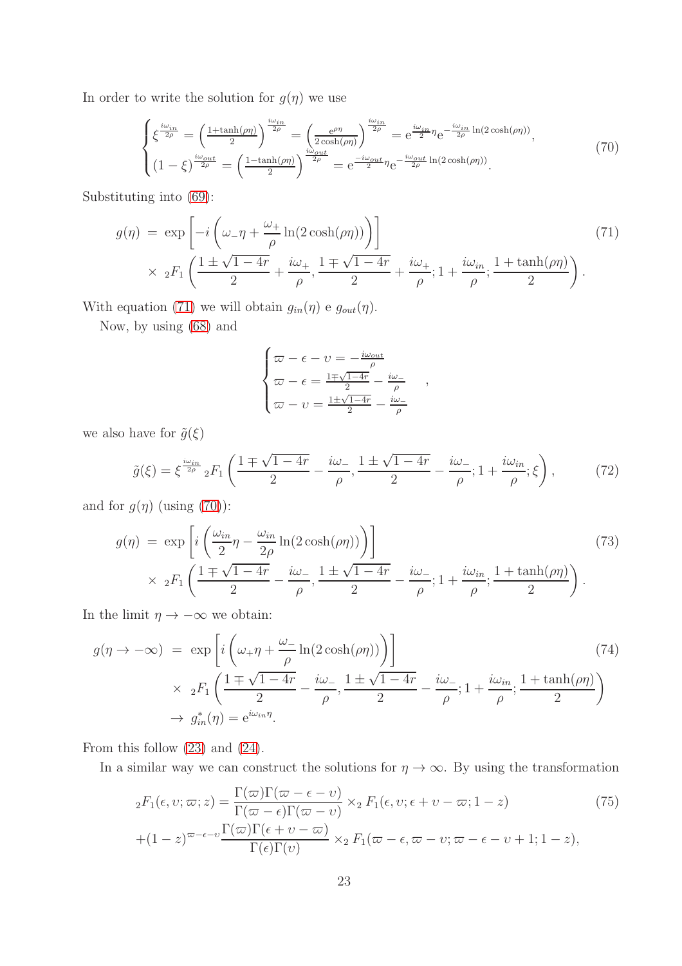In order to write the solution for  $g(\eta)$  we use

<span id="page-22-3"></span>
$$
\begin{cases} \xi^{\frac{i\omega_{in}}{2\rho}} = \left(\frac{1+\tanh(\rho\eta)}{2}\right)^{\frac{i\omega_{in}}{2\rho}} = \left(\frac{e^{\rho\eta}}{2\cosh(\rho\eta)}\right)^{\frac{i\omega_{in}}{2\rho}} = e^{\frac{i\omega_{in}}{2}\eta}e^{-\frac{i\omega_{in}}{2\rho}\ln(2\cosh(\rho\eta))},\\ (1-\xi)^{\frac{i\omega_{out}}{2\rho}} = \left(\frac{1-\tanh(\rho\eta)}{2}\right)^{\frac{i\omega_{out}}{2\rho}} = e^{\frac{-i\omega_{out}}{2}\eta}e^{-\frac{i\omega_{out}}{2\rho}\ln(2\cosh(\rho\eta))}. \end{cases} \tag{70}
$$

Substituting into [\(69\)](#page-21-3):

<span id="page-22-2"></span>
$$
g(\eta) = \exp\left[-i\left(\omega_{-}\eta + \frac{\omega_{+}}{\rho}\ln(2\cosh(\rho\eta))\right)\right]
$$
  
 
$$
\times 2F_{1}\left(\frac{1\pm\sqrt{1-4r}}{2} + \frac{i\omega_{+}}{\rho}, \frac{1\mp\sqrt{1-4r}}{2} + \frac{i\omega_{+}}{\rho}; 1 + \frac{i\omega_{in}}{\rho}; \frac{1+\tanh(\rho\eta)}{2}\right).
$$
 (71)

With equation [\(71\)](#page-22-2) we will obtain  $g_{in}(\eta)$  e  $g_{out}(\eta)$ .

Now, by using [\(68\)](#page-21-0) and

$$
\begin{cases}\n\varpi - \epsilon - \upsilon = -\frac{i\omega_{out}}{\rho} \\
\varpi - \epsilon = \frac{1 \pm \sqrt{1 - 4r}}{2} - \frac{i\omega_{-}}{\rho} \\
\varpi - \upsilon = \frac{1 \pm \sqrt{1 - 4r}}{2} - \frac{i\omega_{-}}{\rho}\n\end{cases}
$$

we also have for  $\tilde{g}(\xi)$ 

$$
\tilde{g}(\xi) = \xi^{\frac{i\omega_{in}}{2\rho}} {}_2F_1 \left( \frac{1 \pm \sqrt{1 - 4r}}{2} - \frac{i\omega_{-}}{\rho}, \frac{1 \pm \sqrt{1 - 4r}}{2} - \frac{i\omega_{-}}{\rho}; 1 + \frac{i\omega_{in}}{\rho}; \xi \right),\tag{72}
$$

,

and for  $g(\eta)$  (using [\(70\)](#page-22-3)):

$$
g(\eta) = \exp\left[i\left(\frac{\omega_{in}}{2}\eta - \frac{\omega_{in}}{2\rho}\ln(2\cosh(\rho\eta))\right)\right]
$$
  
 
$$
\times {}_{2}F_{1}\left(\frac{1\mp\sqrt{1-4r}}{2} - \frac{i\omega_{-}}{\rho}, \frac{1\pm\sqrt{1-4r}}{2} - \frac{i\omega_{-}}{\rho}; 1 + \frac{i\omega_{in}}{\rho}; \frac{1+\tanh(\rho\eta)}{2}\right).
$$
 (73)

In the limit  $\eta \to -\infty$  we obtain:

<span id="page-22-0"></span>
$$
g(\eta \to -\infty) = \exp\left[i\left(\omega_{+}\eta + \frac{\omega_{-}}{\rho}\ln(2\cosh(\rho\eta))\right)\right]
$$
  
 
$$
\times 2F_1\left(\frac{1 \pm \sqrt{1-4r}}{2} - \frac{i\omega_{-}}{\rho}, \frac{1 \pm \sqrt{1-4r}}{2} - \frac{i\omega_{-}}{\rho}; 1 + \frac{i\omega_{in}}{\rho}; \frac{1 + \tanh(\rho\eta)}{2}\right)
$$
  
 
$$
\to g_{in}^*(\eta) = e^{i\omega_{in}\eta}.
$$
 (74)

From this follow [\(23\)](#page-9-2) and [\(24\)](#page-9-3).

In a similar way we can construct the solutions for  $\eta \to \infty$ . By using the transformation

<span id="page-22-1"></span>
$$
{}_{2}F_{1}(\epsilon, v; \omega; z) = \frac{\Gamma(\omega)\Gamma(\omega - \epsilon - v)}{\Gamma(\omega - \epsilon)\Gamma(\omega - v)} \times {}_{2}F_{1}(\epsilon, v; \epsilon + v - \omega; 1 - z)
$$
(75)  
 
$$
+ (1 - z)^{\omega - \epsilon - v} \frac{\Gamma(\omega)\Gamma(\epsilon + v - \omega)}{\Gamma(\epsilon)\Gamma(v)} \times {}_{2}F_{1}(\omega - \epsilon, \omega - v; \omega - \epsilon - v + 1; 1 - z),
$$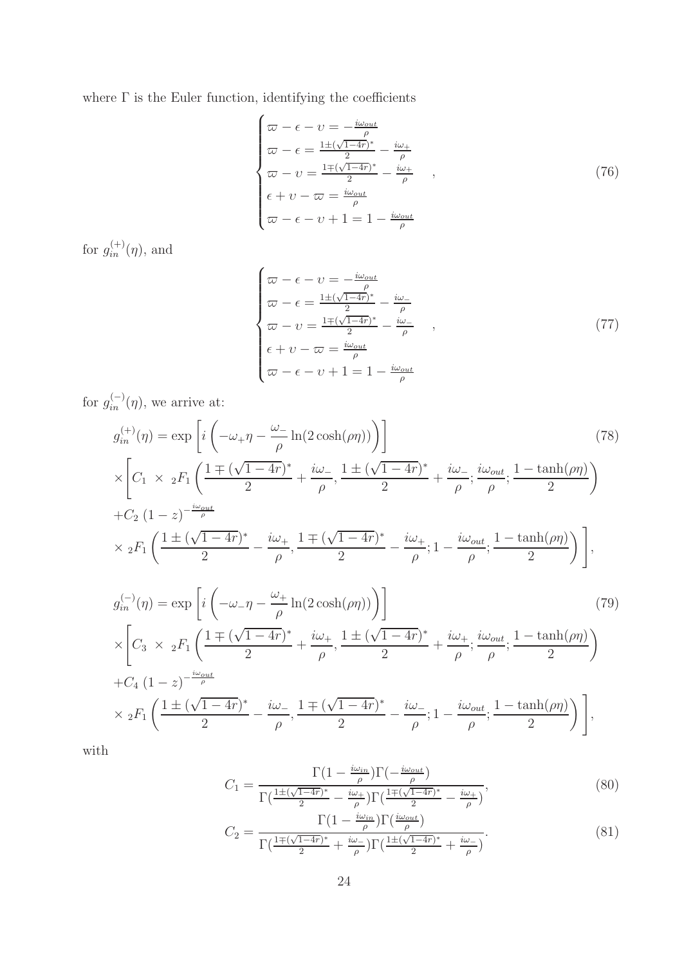where  $\Gamma$  is the Euler function, identifying the coefficients

$$
\begin{cases}\n\varpi - \epsilon - \upsilon = -\frac{i\omega_{out}}{\rho} \\
\varpi - \epsilon = \frac{1 \pm (\sqrt{1-4r})^*}{2} - \frac{i\omega_+}{\rho} \\
\varpi - \upsilon = \frac{1 \mp (\sqrt{1-4r})^*}{2} - \frac{i\omega_+}{\rho} \\
\epsilon + \upsilon - \varpi = \frac{i\omega_{out}}{\rho} \\
\varpi - \epsilon - \upsilon + 1 = 1 - \frac{i\omega_{out}}{\rho}\n\end{cases}
$$
\n(76)

for  $g_{in}^{(+)}(\eta)$ , and

$$
\begin{cases}\n\varpi - \epsilon - \upsilon = -\frac{i\omega_{out}}{\rho} \\
\varpi - \epsilon = \frac{1 \pm (\sqrt{1-4r})^*}{2} - \frac{i\omega_-}{\rho} \\
\varpi - \upsilon = \frac{1 \mp (\sqrt{1-4r})^*}{2} - \frac{i\omega_-}{\rho} \\
\epsilon + \upsilon - \varpi = \frac{i\omega_{out}}{\rho} \\
\varpi - \epsilon - \upsilon + 1 = 1 - \frac{i\omega_{out}}{\rho}\n\end{cases}
$$
\n(77)

for  $g_{in}^{(-)}(\eta)$ , we arrive at:

<span id="page-23-0"></span>
$$
g_{in}^{(+)}(\eta) = \exp\left[i\left(-\omega_{+}\eta - \frac{\omega_{-}}{\rho}\ln(2\cosh(\rho\eta))\right)\right]
$$
(78)  
\n
$$
\times \left[C_{1} \times {}_{2}F_{1}\left(\frac{1 \pm (\sqrt{1-4r})^{*}}{2} + \frac{i\omega_{-}}{\rho}, \frac{1 \pm (\sqrt{1-4r})^{*}}{2} + \frac{i\omega_{-}}{\rho}; \frac{i\omega_{out}}{\rho}; \frac{1 - \tanh(\rho\eta)}{2}\right)\right]
$$
  
\n+ $C_{2} (1-z)^{-\frac{i\omega_{out}}{\rho}}$   
\n
$$
\times {}_{2}F_{1}\left(\frac{1 \pm (\sqrt{1-4r})^{*}}{2} - \frac{i\omega_{+}}{\rho}, \frac{1 \pm (\sqrt{1-4r})^{*}}{2} - \frac{i\omega_{+}}{\rho}; 1 - \frac{i\omega_{out}}{\rho}; \frac{1 - \tanh(\rho\eta)}{2}\right)\right],
$$
  
\n
$$
g_{in}^{(-)}(\eta) = \exp\left[i\left(-\omega_{-}\eta - \frac{\omega_{+}}{\rho}\ln(2\cosh(\rho\eta))\right)\right]
$$
  
\n
$$
\times \left[C_{3} \times {}_{2}F_{1}\left(\frac{1 \pm (\sqrt{1-4r})^{*}}{2} + \frac{i\omega_{+}}{\rho}, \frac{1 \pm (\sqrt{1-4r})^{*}}{2} + \frac{i\omega_{+}}{\rho}; \frac{i\omega_{out}}{\rho}; \frac{1 - \tanh(\rho\eta)}{2}\right)\right]
$$
  
\n+ $C_{4} (1-z)^{-\frac{i\omega_{out}}{\rho}}$   
\n
$$
\times {}_{2}F_{1}\left(\frac{1 \pm (\sqrt{1-4r})^{*}}{2} - \frac{i\omega_{-}}{\rho}, \frac{1 \mp (\sqrt{1-4r})^{*}}{2} - \frac{i\omega_{-}}{\rho}; 1 - \frac{i\omega_{out}}{\rho}; \frac{1 - \tanh(\rho\eta)}{2}\right)\right],
$$
(79)  
\n(79)  
\n(79)  
\n(79)  
\n(79)  
\n(79)  
\n(79)  
\n(79)  
\n(79)  
\n(79)  
\n(79)  
\n(79)  
\n(79)  
\n(79)

<span id="page-23-1"></span>with

$$
C_1 = \frac{\Gamma\left(1 - \frac{i\omega_{in}}{\rho}\right)\Gamma\left(-\frac{i\omega_{out}}{\rho}\right)}{\Gamma\left(\frac{1 \pm (\sqrt{1-4r})^*}{2} - \frac{i\omega_+}{\rho}\right)\Gamma\left(\frac{1 \mp (\sqrt{1-4r})^*}{2} - \frac{i\omega_+}{\rho}\right)},\tag{80}
$$

$$
C_2 = \frac{\Gamma\left(1 - \frac{i\omega_{in}}{\rho}\right)\Gamma\left(\frac{i\omega_{out}}{\rho}\right)}{\Gamma\left(\frac{1 \pm (\sqrt{1-4r})^*}{2} + \frac{i\omega_-}{\rho}\right)\Gamma\left(\frac{1 \pm (\sqrt{1-4r})^*}{2} + \frac{i\omega_-}{\rho}\right)}.
$$
(81)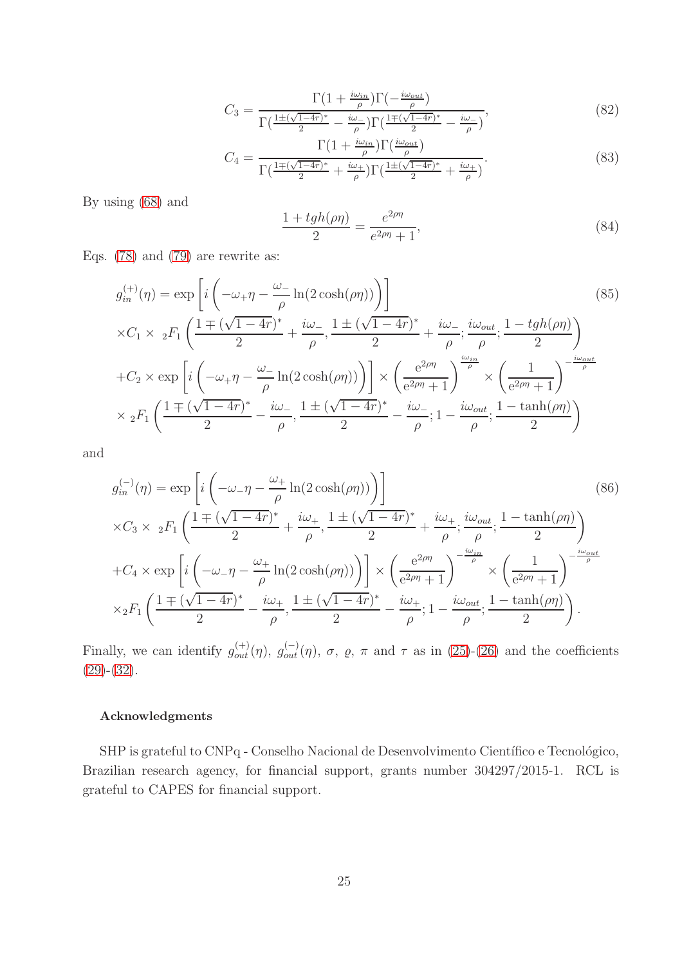$$
C_3 = \frac{\Gamma\left(1 + \frac{i\omega_{in}}{\rho}\right)\Gamma\left(-\frac{i\omega_{out}}{\rho}\right)}{\Gamma\left(\frac{1 \pm (\sqrt{1-4r})^*}{2} - \frac{i\omega}{\rho}\right)\Gamma\left(\frac{1 \pm (\sqrt{1-4r})^*}{2} - \frac{i\omega}{\rho}\right)},\tag{82}
$$

$$
C_4 = \frac{\Gamma\left(1 + \frac{i\omega_{in}}{\rho}\right)\Gamma\left(\frac{i\omega_{out}}{\rho}\right)}{\Gamma\left(\frac{1 \pm (\sqrt{1-4r})^*}{2} + \frac{i\omega_+}{\rho}\right)\Gamma\left(\frac{1 \pm (\sqrt{1-4r})^*}{2} + \frac{i\omega_+}{\rho}\right)}.\tag{83}
$$

By using [\(68\)](#page-21-0) and

$$
\frac{1 + tgh(\rho \eta)}{2} = \frac{e^{2\rho \eta}}{e^{2\rho \eta} + 1},
$$
\n(84)

Eqs. [\(78\)](#page-23-0) and [\(79\)](#page-23-1) are rewrite as:

$$
g_{in}^{(+)}(\eta) = \exp\left[i\left(-\omega_{+}\eta - \frac{\omega_{-}}{\rho}\ln(2\cosh(\rho\eta))\right)\right]
$$
(85)  
 
$$
\times C_{1} \times {}_{2}F_{1}\left(\frac{1 \pm (\sqrt{1-4r})^{*}}{2} + \frac{i\omega_{-}}{\rho}, \frac{1 \pm (\sqrt{1-4r})^{*}}{2} + \frac{i\omega_{-}}{\rho}; \frac{i\omega_{out}}{\rho}; \frac{1 - tgh(\rho\eta)}{2}\right)
$$
  
+
$$
C_{2} \times \exp\left[i\left(-\omega_{+}\eta - \frac{\omega_{-}}{\rho}\ln(2\cosh(\rho\eta))\right)\right] \times \left(\frac{e^{2\rho\eta}}{e^{2\rho\eta} + 1}\right)^{\frac{i\omega_{in}}{\rho}} \times \left(\frac{1}{e^{2\rho\eta} + 1}\right)^{-\frac{i\omega_{out}}{\rho}}
$$
  

$$
\times {}_{2}F_{1}\left(\frac{1 \pm (\sqrt{1-4r})^{*}}{2} - \frac{i\omega_{-}}{\rho}, \frac{1 \pm (\sqrt{1-4r})^{*}}{2} - \frac{i\omega_{-}}{\rho}; 1 - \frac{i\omega_{out}}{\rho}; \frac{1 - \tanh(\rho\eta)}{2}\right)
$$
(85)

and

$$
g_{in}^{(-)}(\eta) = \exp\left[i\left(-\omega_{-}\eta - \frac{\omega_{+}}{\rho}\ln(2\cosh(\rho\eta))\right)\right]
$$
\n
$$
\times C_{3} \times {}_{2}F_{1}\left(\frac{1 \pm (\sqrt{1-4r})^{*}}{2} + \frac{i\omega_{+}}{\rho}, \frac{1 \pm (\sqrt{1-4r})^{*}}{2} + \frac{i\omega_{+}}{\rho}; \frac{i\omega_{out}}{\rho}; \frac{1 - \tanh(\rho\eta)}{2}\right)
$$
\n
$$
+ C_{4} \times \exp\left[i\left(-\omega_{-}\eta - \frac{\omega_{+}}{\rho}\ln(2\cosh(\rho\eta))\right)\right] \times \left(\frac{e^{2\rho\eta}}{e^{2\rho\eta} + 1}\right)^{-\frac{i\omega_{in}}{\rho}} \times \left(\frac{1}{e^{2\rho\eta} + 1}\right)^{-\frac{i\omega_{out}}{\rho}}
$$
\n
$$
\times {}_{2}F_{1}\left(\frac{1 \pm (\sqrt{1-4r})^{*}}{2} - \frac{i\omega_{+}}{\rho}, \frac{1 \pm (\sqrt{1-4r})^{*}}{2} - \frac{i\omega_{+}}{\rho}; 1 - \frac{i\omega_{out}}{\rho}; \frac{1 - \tanh(\rho\eta)}{2}\right).
$$
\n(86)

Finally, we can identify  $g_{out}^{(+)}(\eta)$ ,  $g_{out}^{(-)}(\eta)$ ,  $\sigma$ ,  $\rho$ ,  $\pi$  and  $\tau$  as in [\(25\)](#page-9-4)-[\(26\)](#page-9-5) and the coefficients  $(29)-(32)$  $(29)-(32)$  $(29)-(32)$ .

## Acknowledgments

SHP is grateful to CNPq - Conselho Nacional de Desenvolvimento Científico e Tecnológico, Brazilian research agency, for financial support, grants number 304297/2015-1. RCL is grateful to CAPES for financial support.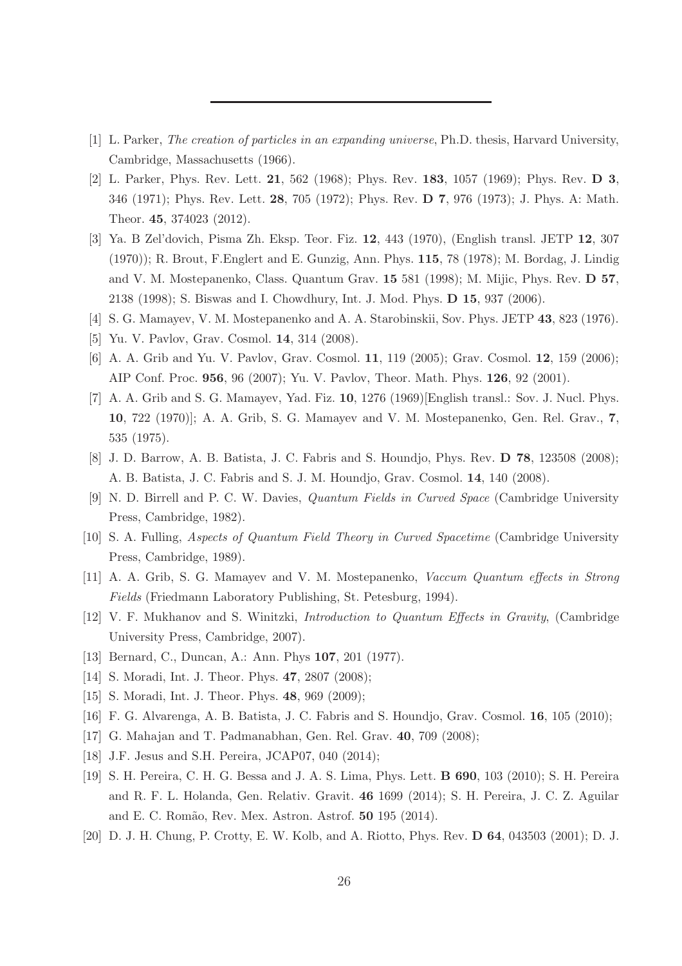- <span id="page-25-0"></span>[1] L. Parker, The creation of particles in an expanding universe, Ph.D. thesis, Harvard University, Cambridge, Massachusetts (1966).
- <span id="page-25-1"></span>[2] L. Parker, Phys. Rev. Lett. **21**, 562 (1968); Phys. Rev. **183**, 1057 (1969); Phys. Rev. **D** 3, 346 (1971); Phys. Rev. Lett. 28, 705 (1972); Phys. Rev. D 7, 976 (1973); J. Phys. A: Math. Theor. 45, 374023 (2012).
- <span id="page-25-2"></span>[3] Ya. B Zel'dovich, Pisma Zh. Eksp. Teor. Fiz. 12, 443 (1970), (English transl. JETP 12, 307 (1970)); R. Brout, F.Englert and E. Gunzig, Ann. Phys. 115, 78 (1978); M. Bordag, J. Lindig and V. M. Mostepanenko, Class. Quantum Grav. 15 581 (1998); M. Mijic, Phys. Rev. D 57, 2138 (1998); S. Biswas and I. Chowdhury, Int. J. Mod. Phys. D 15, 937 (2006).
- [4] S. G. Mamayev, V. M. Mostepanenko and A. A. Starobinskii, Sov. Phys. JETP 43, 823 (1976).
- <span id="page-25-7"></span>[5] Yu. V. Pavlov, Grav. Cosmol. 14, 314 (2008).
- <span id="page-25-10"></span>[6] A. A. Grib and Yu. V. Pavlov, Grav. Cosmol. 11, 119 (2005); Grav. Cosmol. 12, 159 (2006); AIP Conf. Proc. 956, 96 (2007); Yu. V. Pavlov, Theor. Math. Phys. 126, 92 (2001).
- <span id="page-25-8"></span>[7] A. A. Grib and S. G. Mamayev, Yad. Fiz. 10, 1276 (1969)[English transl.: Sov. J. Nucl. Phys. 10, 722 (1970)]; A. A. Grib, S. G. Mamayev and V. M. Mostepanenko, Gen. Rel. Grav., 7, 535 (1975).
- <span id="page-25-3"></span>[8] J. D. Barrow, A. B. Batista, J. C. Fabris and S. Houndjo, Phys. Rev. D 78, 123508 (2008); A. B. Batista, J. C. Fabris and S. J. M. Houndjo, Grav. Cosmol. 14, 140 (2008).
- <span id="page-25-4"></span>[9] N. D. Birrell and P. C. W. Davies, Quantum Fields in Curved Space (Cambridge University Press, Cambridge, 1982).
- <span id="page-25-6"></span>[10] S. A. Fulling, Aspects of Quantum Field Theory in Curved Spacetime (Cambridge University Press, Cambridge, 1989).
- <span id="page-25-9"></span>[11] A. A. Grib, S. G. Mamayev and V. M. Mostepanenko, Vaccum Quantum effects in Strong Fields (Friedmann Laboratory Publishing, St. Petesburg, 1994).
- <span id="page-25-5"></span>[12] V. F. Mukhanov and S. Winitzki, Introduction to Quantum Effects in Gravity, (Cambridge University Press, Cambridge, 2007).
- <span id="page-25-11"></span>[13] Bernard, C., Duncan, A.: Ann. Phys **107**, 201 (1977).
- <span id="page-25-12"></span>[14] S. Moradi, Int. J. Theor. Phys. **47**, 2807 (2008);
- <span id="page-25-13"></span>[15] S. Moradi, Int. J. Theor. Phys. **48**, 969 (2009);
- <span id="page-25-14"></span>[16] F. G. Alvarenga, A. B. Batista, J. C. Fabris and S. Houndjo, Grav. Cosmol. 16, 105 (2010);
- [17] G. Mahajan and T. Padmanabhan, Gen. Rel. Grav. 40, 709 (2008);
- <span id="page-25-15"></span>[18] J.F. Jesus and S.H. Pereira, JCAP07, 040 (2014);
- <span id="page-25-16"></span>[19] S. H. Pereira, C. H. G. Bessa and J. A. S. Lima, Phys. Lett. B 690, 103 (2010); S. H. Pereira and R. F. L. Holanda, Gen. Relativ. Gravit. 46 1699 (2014); S. H. Pereira, J. C. Z. Aguilar and E. C. Romão, Rev. Mex. Astron. Astrof. **50** 195 (2014).
- <span id="page-25-17"></span>[20] D. J. H. Chung, P. Crotty, E. W. Kolb, and A. Riotto, Phys. Rev. D 64, 043503 (2001); D. J.